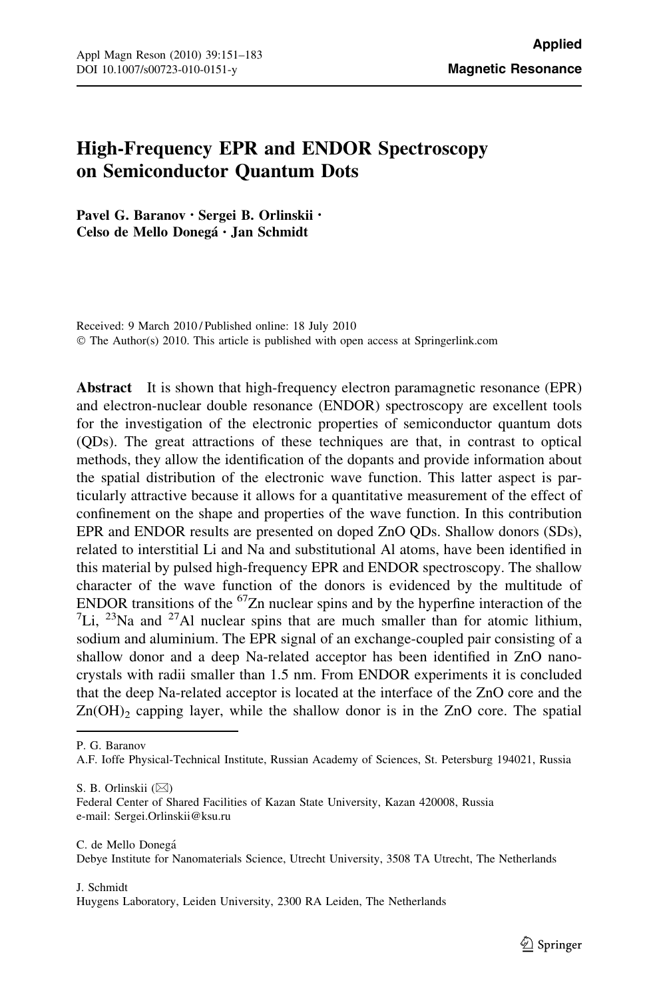# High-Frequency EPR and ENDOR Spectroscopy on Semiconductor Quantum Dots

Pavel G. Baranov • Sergei B. Orlinskii • Celso de Mello Donegá · Jan Schmidt

Received: 9 March 2010 / Published online: 18 July 2010 © The Author(s) 2010. This article is published with open access at Springerlink.com

Abstract It is shown that high-frequency electron paramagnetic resonance (EPR) and electron-nuclear double resonance (ENDOR) spectroscopy are excellent tools for the investigation of the electronic properties of semiconductor quantum dots (QDs). The great attractions of these techniques are that, in contrast to optical methods, they allow the identification of the dopants and provide information about the spatial distribution of the electronic wave function. This latter aspect is particularly attractive because it allows for a quantitative measurement of the effect of confinement on the shape and properties of the wave function. In this contribution EPR and ENDOR results are presented on doped ZnO QDs. Shallow donors (SDs), related to interstitial Li and Na and substitutional Al atoms, have been identified in this material by pulsed high-frequency EPR and ENDOR spectroscopy. The shallow character of the wave function of the donors is evidenced by the multitude of ENDOR transitions of the  ${}^{67}Zn$  nuclear spins and by the hyperfine interaction of the  ${}^{7}$ Li,  ${}^{23}$ Na and  ${}^{27}$ Al nuclear spins that are much smaller than for atomic lithium, sodium and aluminium. The EPR signal of an exchange-coupled pair consisting of a shallow donor and a deep Na-related acceptor has been identified in ZnO nanocrystals with radii smaller than 1.5 nm. From ENDOR experiments it is concluded that the deep Na-related acceptor is located at the interface of the ZnO core and the  $Zn(OH)_2$  capping layer, while the shallow donor is in the  $ZnO$  core. The spatial

C. de Mello Donega´

Debye Institute for Nanomaterials Science, Utrecht University, 3508 TA Utrecht, The Netherlands

#### J. Schmidt

Huygens Laboratory, Leiden University, 2300 RA Leiden, The Netherlands

P. G. Baranov

A.F. Ioffe Physical-Technical Institute, Russian Academy of Sciences, St. Petersburg 194021, Russia

S. B. Orlinskii (⊠)

Federal Center of Shared Facilities of Kazan State University, Kazan 420008, Russia e-mail: Sergei.Orlinskii@ksu.ru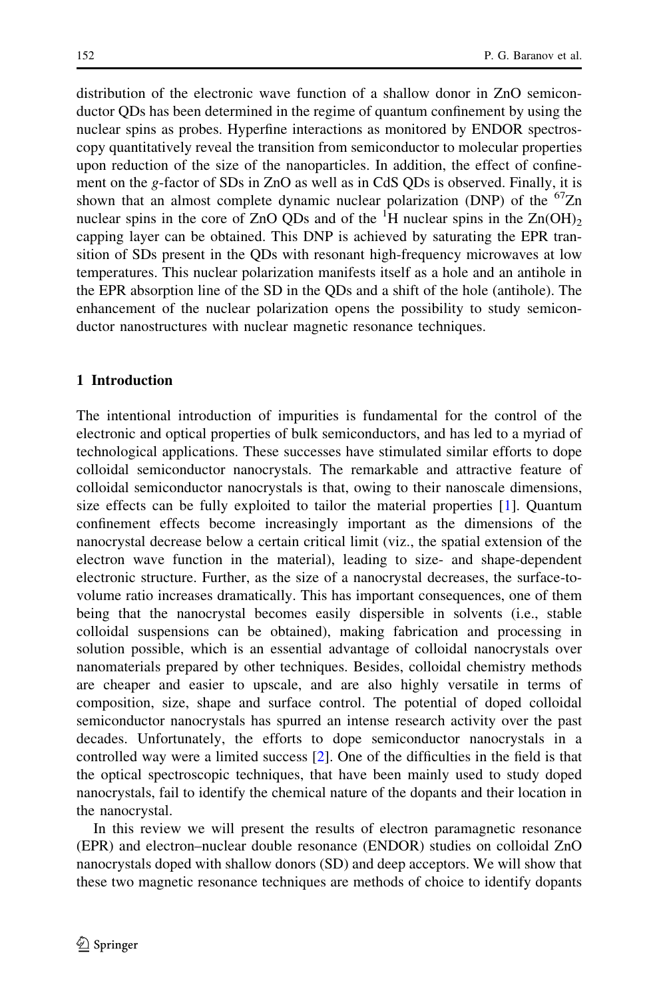distribution of the electronic wave function of a shallow donor in ZnO semiconductor QDs has been determined in the regime of quantum confinement by using the nuclear spins as probes. Hyperfine interactions as monitored by ENDOR spectroscopy quantitatively reveal the transition from semiconductor to molecular properties upon reduction of the size of the nanoparticles. In addition, the effect of confinement on the g-factor of SDs in ZnO as well as in CdS QDs is observed. Finally, it is shown that an almost complete dynamic nuclear polarization (DNP) of the  ${}^{67}Zn$ nuclear spins in the core of ZnO QDs and of the  ${}^{1}H$  nuclear spins in the Zn(OH)<sub>2</sub> capping layer can be obtained. This DNP is achieved by saturating the EPR transition of SDs present in the QDs with resonant high-frequency microwaves at low temperatures. This nuclear polarization manifests itself as a hole and an antihole in the EPR absorption line of the SD in the QDs and a shift of the hole (antihole). The enhancement of the nuclear polarization opens the possibility to study semiconductor nanostructures with nuclear magnetic resonance techniques.

### 1 Introduction

The intentional introduction of impurities is fundamental for the control of the electronic and optical properties of bulk semiconductors, and has led to a myriad of technological applications. These successes have stimulated similar efforts to dope colloidal semiconductor nanocrystals. The remarkable and attractive feature of colloidal semiconductor nanocrystals is that, owing to their nanoscale dimensions, size effects can be fully exploited to tailor the material properties [\[1](#page-31-0)]. Quantum confinement effects become increasingly important as the dimensions of the nanocrystal decrease below a certain critical limit (viz., the spatial extension of the electron wave function in the material), leading to size- and shape-dependent electronic structure. Further, as the size of a nanocrystal decreases, the surface-tovolume ratio increases dramatically. This has important consequences, one of them being that the nanocrystal becomes easily dispersible in solvents (i.e., stable colloidal suspensions can be obtained), making fabrication and processing in solution possible, which is an essential advantage of colloidal nanocrystals over nanomaterials prepared by other techniques. Besides, colloidal chemistry methods are cheaper and easier to upscale, and are also highly versatile in terms of composition, size, shape and surface control. The potential of doped colloidal semiconductor nanocrystals has spurred an intense research activity over the past decades. Unfortunately, the efforts to dope semiconductor nanocrystals in a controlled way were a limited success [[2\]](#page-31-0). One of the difficulties in the field is that the optical spectroscopic techniques, that have been mainly used to study doped nanocrystals, fail to identify the chemical nature of the dopants and their location in the nanocrystal.

In this review we will present the results of electron paramagnetic resonance (EPR) and electron–nuclear double resonance (ENDOR) studies on colloidal ZnO nanocrystals doped with shallow donors (SD) and deep acceptors. We will show that these two magnetic resonance techniques are methods of choice to identify dopants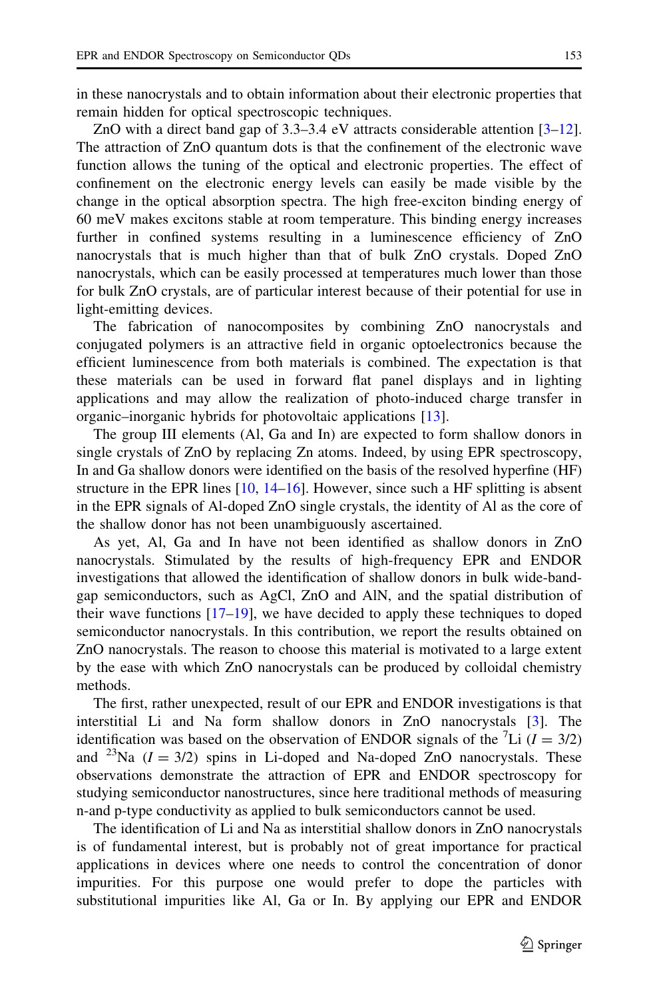in these nanocrystals and to obtain information about their electronic properties that remain hidden for optical spectroscopic techniques.

ZnO with a direct band gap of  $3.3-3.4$  eV attracts considerable attention  $[3-12]$ . The attraction of ZnO quantum dots is that the confinement of the electronic wave function allows the tuning of the optical and electronic properties. The effect of confinement on the electronic energy levels can easily be made visible by the change in the optical absorption spectra. The high free-exciton binding energy of 60 meV makes excitons stable at room temperature. This binding energy increases further in confined systems resulting in a luminescence efficiency of ZnO nanocrystals that is much higher than that of bulk ZnO crystals. Doped ZnO nanocrystals, which can be easily processed at temperatures much lower than those for bulk ZnO crystals, are of particular interest because of their potential for use in light-emitting devices.

The fabrication of nanocomposites by combining ZnO nanocrystals and conjugated polymers is an attractive field in organic optoelectronics because the efficient luminescence from both materials is combined. The expectation is that these materials can be used in forward flat panel displays and in lighting applications and may allow the realization of photo-induced charge transfer in organic–inorganic hybrids for photovoltaic applications [\[13](#page-31-0)].

The group III elements (Al, Ga and In) are expected to form shallow donors in single crystals of ZnO by replacing Zn atoms. Indeed, by using EPR spectroscopy, In and Ga shallow donors were identified on the basis of the resolved hyperfine (HF) structure in the EPR lines [\[10](#page-31-0), [14–16](#page-31-0)]. However, since such a HF splitting is absent in the EPR signals of Al-doped ZnO single crystals, the identity of Al as the core of the shallow donor has not been unambiguously ascertained.

As yet, Al, Ga and In have not been identified as shallow donors in ZnO nanocrystals. Stimulated by the results of high-frequency EPR and ENDOR investigations that allowed the identification of shallow donors in bulk wide-bandgap semiconductors, such as AgCl, ZnO and AlN, and the spatial distribution of their wave functions  $[17-19]$ , we have decided to apply these techniques to doped semiconductor nanocrystals. In this contribution, we report the results obtained on ZnO nanocrystals. The reason to choose this material is motivated to a large extent by the ease with which ZnO nanocrystals can be produced by colloidal chemistry methods.

The first, rather unexpected, result of our EPR and ENDOR investigations is that interstitial Li and Na form shallow donors in ZnO nanocrystals [[3\]](#page-31-0). The identification was based on the observation of ENDOR signals of the <sup>7</sup>Li ( $I = 3/2$ ) and <sup>23</sup>Na ( $I = 3/2$ ) spins in Li-doped and Na-doped ZnO nanocrystals. These observations demonstrate the attraction of EPR and ENDOR spectroscopy for studying semiconductor nanostructures, since here traditional methods of measuring n-and p-type conductivity as applied to bulk semiconductors cannot be used.

The identification of Li and Na as interstitial shallow donors in ZnO nanocrystals is of fundamental interest, but is probably not of great importance for practical applications in devices where one needs to control the concentration of donor impurities. For this purpose one would prefer to dope the particles with substitutional impurities like Al, Ga or In. By applying our EPR and ENDOR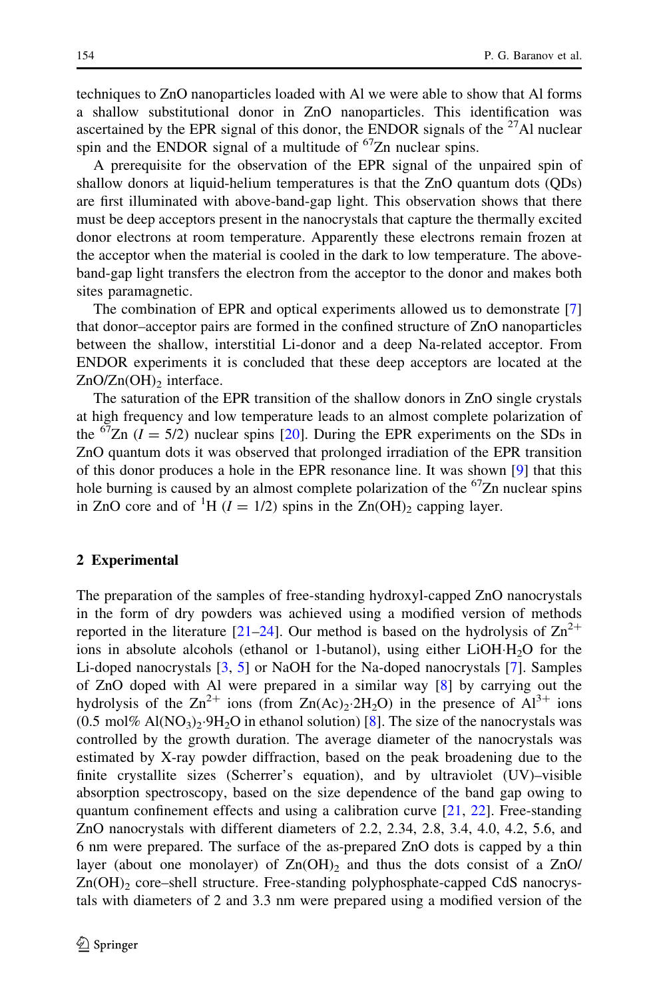techniques to ZnO nanoparticles loaded with Al we were able to show that Al forms a shallow substitutional donor in ZnO nanoparticles. This identification was ascertained by the EPR signal of this donor, the ENDOR signals of the  $27$ Al nuclear spin and the ENDOR signal of a multitude of  ${}^{67}Zn$  nuclear spins.

A prerequisite for the observation of the EPR signal of the unpaired spin of shallow donors at liquid-helium temperatures is that the ZnO quantum dots (QDs) are first illuminated with above-band-gap light. This observation shows that there must be deep acceptors present in the nanocrystals that capture the thermally excited donor electrons at room temperature. Apparently these electrons remain frozen at the acceptor when the material is cooled in the dark to low temperature. The aboveband-gap light transfers the electron from the acceptor to the donor and makes both sites paramagnetic.

The combination of EPR and optical experiments allowed us to demonstrate [\[7](#page-31-0)] that donor–acceptor pairs are formed in the confined structure of ZnO nanoparticles between the shallow, interstitial Li-donor and a deep Na-related acceptor. From ENDOR experiments it is concluded that these deep acceptors are located at the  $ZnO/Zn(OH)$ <sub>2</sub> interface.

The saturation of the EPR transition of the shallow donors in ZnO single crystals at high frequency and low temperature leads to an almost complete polarization of the <sup>67</sup>Zn ( $I = 5/2$ ) nuclear spins [[20\]](#page-32-0). During the EPR experiments on the SDs in ZnO quantum dots it was observed that prolonged irradiation of the EPR transition of this donor produces a hole in the EPR resonance line. It was shown [\[9](#page-31-0)] that this hole burning is caused by an almost complete polarization of the  $^{67}Zn$  nuclear spins in ZnO core and of <sup>1</sup>H ( $I = 1/2$ ) spins in the Zn(OH)<sub>2</sub> capping layer.

### 2 Experimental

The preparation of the samples of free-standing hydroxyl-capped ZnO nanocrystals in the form of dry powders was achieved using a modified version of methods reported in the literature [\[21–24](#page-32-0)]. Our method is based on the hydrolysis of  $\text{Zn}^{2+}$ ions in absolute alcohols (ethanol or 1-butanol), using either LiOH·H<sub>2</sub>O for the Li-doped nanocrystals [[3,](#page-31-0) [5](#page-31-0)] or NaOH for the Na-doped nanocrystals [\[7](#page-31-0)]. Samples of ZnO doped with Al were prepared in a similar way [[8\]](#page-31-0) by carrying out the hydrolysis of the  $\text{Zn}^{2+}$  ions (from  $\text{Zn}(\text{Ac})_2 \cdot 2\text{H}_2\text{O}$ ) in the presence of  $\text{Al}^{3+}$  ions  $(0.5 \text{ mol\% Al} (NO<sub>3</sub>)<sub>2</sub>·9H<sub>2</sub>O$  in ethanol solution) [\[8](#page-31-0)]. The size of the nanocrystals was controlled by the growth duration. The average diameter of the nanocrystals was estimated by X-ray powder diffraction, based on the peak broadening due to the finite crystallite sizes (Scherrer's equation), and by ultraviolet (UV)–visible absorption spectroscopy, based on the size dependence of the band gap owing to quantum confinement effects and using a calibration curve [\[21](#page-32-0), [22](#page-32-0)]. Free-standing ZnO nanocrystals with different diameters of 2.2, 2.34, 2.8, 3.4, 4.0, 4.2, 5.6, and 6 nm were prepared. The surface of the as-prepared ZnO dots is capped by a thin layer (about one monolayer) of  $Zn(OH)_2$  and thus the dots consist of a  $ZnO$ Zn(OH)<sub>2</sub> core–shell structure. Free-standing polyphosphate-capped CdS nanocrystals with diameters of 2 and 3.3 nm were prepared using a modified version of the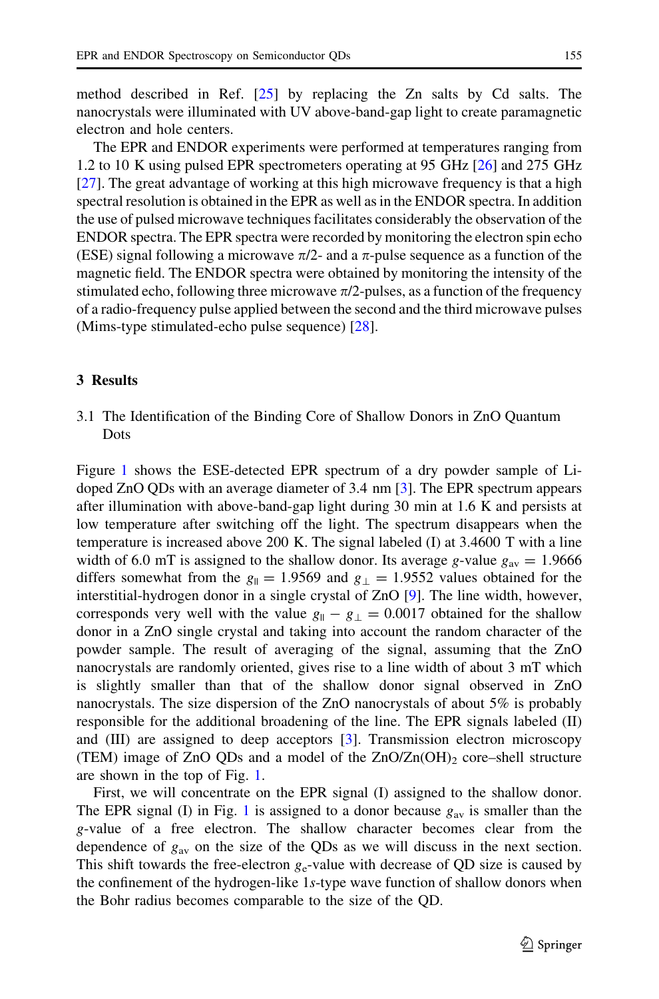method described in Ref. [[25\]](#page-32-0) by replacing the Zn salts by Cd salts. The nanocrystals were illuminated with UV above-band-gap light to create paramagnetic electron and hole centers.

The EPR and ENDOR experiments were performed at temperatures ranging from 1.2 to 10 K using pulsed EPR spectrometers operating at 95 GHz [[26\]](#page-32-0) and 275 GHz [\[27](#page-32-0)]. The great advantage of working at this high microwave frequency is that a high spectral resolution is obtained in the EPR as well as in the ENDOR spectra. In addition the use of pulsed microwave techniques facilitates considerably the observation of the ENDOR spectra. The EPR spectra were recorded by monitoring the electron spin echo (ESE) signal following a microwave  $\pi/2$ - and a  $\pi$ -pulse sequence as a function of the magnetic field. The ENDOR spectra were obtained by monitoring the intensity of the stimulated echo, following three microwave  $\pi/2$ -pulses, as a function of the frequency of a radio-frequency pulse applied between the second and the third microwave pulses (Mims-type stimulated-echo pulse sequence) [[28\]](#page-32-0).

### 3 Results

### 3.1 The Identification of the Binding Core of Shallow Donors in ZnO Quantum Dots

Figure [1](#page-5-0) shows the ESE-detected EPR spectrum of a dry powder sample of Lidoped ZnO QDs with an average diameter of 3.4 nm [[3\]](#page-31-0). The EPR spectrum appears after illumination with above-band-gap light during 30 min at 1.6 K and persists at low temperature after switching off the light. The spectrum disappears when the temperature is increased above 200 K. The signal labeled (I) at 3.4600 T with a line width of 6.0 mT is assigned to the shallow donor. Its average g-value  $g_{av} = 1.9666$ differs somewhat from the  $g_{\parallel} = 1.9569$  and  $g_{\perp} = 1.9552$  values obtained for the interstitial-hydrogen donor in a single crystal of ZnO [[9\]](#page-31-0). The line width, however, corresponds very well with the value  $g_{\parallel} - g_{\perp} = 0.0017$  obtained for the shallow donor in a ZnO single crystal and taking into account the random character of the powder sample. The result of averaging of the signal, assuming that the ZnO nanocrystals are randomly oriented, gives rise to a line width of about 3 mT which is slightly smaller than that of the shallow donor signal observed in ZnO nanocrystals. The size dispersion of the ZnO nanocrystals of about 5% is probably responsible for the additional broadening of the line. The EPR signals labeled (II) and (III) are assigned to deep acceptors [\[3](#page-31-0)]. Transmission electron microscopy (TEM) image of ZnO QDs and a model of the  $ZnO/Zn(OH)_2$  core–shell structure are shown in the top of Fig. [1](#page-5-0).

First, we will concentrate on the EPR signal (I) assigned to the shallow donor. The EPR signal (I) in Fig. [1](#page-5-0) is assigned to a donor because  $g_{\text{av}}$  is smaller than the g-value of a free electron. The shallow character becomes clear from the dependence of  $g_{av}$  on the size of the QDs as we will discuss in the next section. This shift towards the free-electron  $g_e$ -value with decrease of QD size is caused by the confinement of the hydrogen-like 1s-type wave function of shallow donors when the Bohr radius becomes comparable to the size of the QD.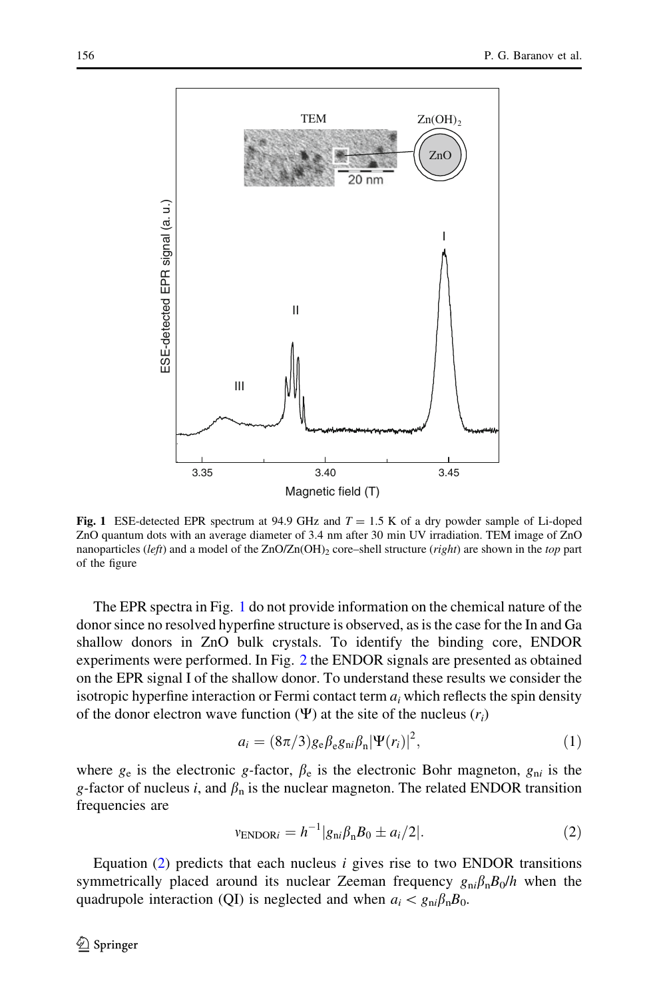<span id="page-5-0"></span>

Fig. 1 ESE-detected EPR spectrum at 94.9 GHz and  $T = 1.5$  K of a dry powder sample of Li-doped ZnO quantum dots with an average diameter of 3.4 nm after 30 min UV irradiation. TEM image of ZnO nanoparticles (left) and a model of the  $ZnO/Zn(OH)_{2}$  core–shell structure (right) are shown in the top part of the figure

The EPR spectra in Fig. 1 do not provide information on the chemical nature of the donor since no resolved hyperfine structure is observed, as is the case for the In and Ga shallow donors in ZnO bulk crystals. To identify the binding core, ENDOR experiments were performed. In Fig. [2](#page-6-0) the ENDOR signals are presented as obtained on the EPR signal I of the shallow donor. To understand these results we consider the isotropic hyperfine interaction or Fermi contact term  $a_i$  which reflects the spin density of the donor electron wave function ( $\Psi$ ) at the site of the nucleus ( $r_i$ )

$$
a_i = (8\pi/3)g_e\beta_e g_{ni}\beta_n|\Psi(r_i)|^2,
$$
\n(1)

where  $g_e$  is the electronic g-factor,  $\beta_e$  is the electronic Bohr magneton,  $g_{ni}$  is the g-factor of nucleus i, and  $\beta_n$  is the nuclear magneton. The related ENDOR transition frequencies are

$$
v_{ENDORi} = h^{-1} |g_{ni} \beta_n B_0 \pm a_i/2|.
$$
 (2)

Equation  $(2)$  predicts that each nucleus *i* gives rise to two ENDOR transitions symmetrically placed around its nuclear Zeeman frequency  $g_{ni}\beta_nB_0/h$  when the quadrupole interaction (QI) is neglected and when  $a_i\lt g_{ni}\beta_nB_0$ .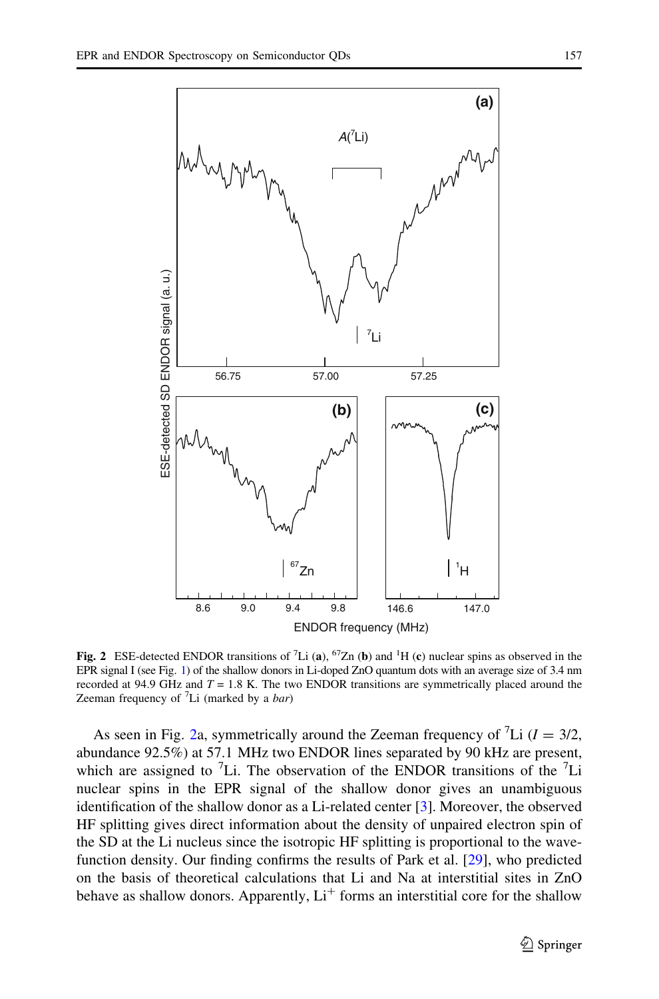<span id="page-6-0"></span>

Fig. 2 ESE-detected ENDOR transitions of  ${}^{7}Li$  (a),  ${}^{67}Zn$  (b) and  ${}^{1}H$  (c) nuclear spins as observed in the EPR signal I (see Fig. [1](#page-5-0)) of the shallow donors in Li-doped ZnO quantum dots with an average size of 3.4 nm recorded at 94.9 GHz and  $T = 1.8$  K. The two ENDOR transitions are symmetrically placed around the Zeeman frequency of  ${}^{7}Li$  (marked by a *bar*)

As seen in Fig. 2a, symmetrically around the Zeeman frequency of <sup>7</sup>Li ( $I = 3/2$ , abundance 92.5%) at 57.1 MHz two ENDOR lines separated by 90 kHz are present, which are assigned to  ${}^{7}$ Li. The observation of the ENDOR transitions of the  ${}^{7}$ Li nuclear spins in the EPR signal of the shallow donor gives an unambiguous identification of the shallow donor as a Li-related center [\[3](#page-31-0)]. Moreover, the observed HF splitting gives direct information about the density of unpaired electron spin of the SD at the Li nucleus since the isotropic HF splitting is proportional to the wavefunction density. Our finding confirms the results of Park et al. [\[29](#page-32-0)], who predicted on the basis of theoretical calculations that Li and Na at interstitial sites in ZnO behave as shallow donors. Apparently,  $Li<sup>+</sup>$  forms an interstitial core for the shallow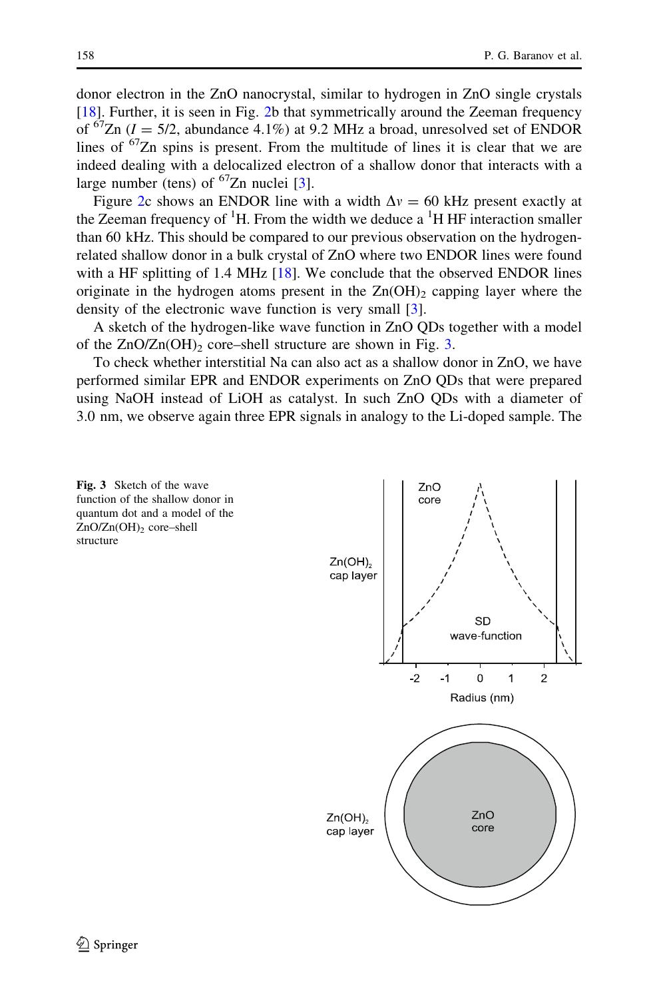donor electron in the ZnO nanocrystal, similar to hydrogen in ZnO single crystals [\[18](#page-32-0)]. Further, it is seen in Fig. [2](#page-6-0)b that symmetrically around the Zeeman frequency of <sup>67</sup>Zn ( $I = 5/2$ , abundance 4.1%) at 9.2 MHz a broad, unresolved set of ENDOR lines of  ${}^{67}Zn$  spins is present. From the multitude of lines it is clear that we are indeed dealing with a delocalized electron of a shallow donor that interacts with a large number (tens) of  $^{67}Zn$  nuclei [\[3](#page-31-0)].

Figure [2c](#page-6-0) shows an ENDOR line with a width  $\Delta v = 60$  kHz present exactly at the Zeeman frequency of  ${}^{1}H$ . From the width we deduce a  ${}^{1}H$  HF interaction smaller than 60 kHz. This should be compared to our previous observation on the hydrogenrelated shallow donor in a bulk crystal of ZnO where two ENDOR lines were found with a HF splitting of 1.4 MHz  $[18]$  $[18]$ . We conclude that the observed ENDOR lines originate in the hydrogen atoms present in the  $Zn(OH)$  capping layer where the density of the electronic wave function is very small [[3\]](#page-31-0).

A sketch of the hydrogen-like wave function in ZnO QDs together with a model of the  $ZnO/Zn(OH)_2$  core–shell structure are shown in Fig. 3.

To check whether interstitial Na can also act as a shallow donor in ZnO, we have performed similar EPR and ENDOR experiments on ZnO QDs that were prepared using NaOH instead of LiOH as catalyst. In such ZnO QDs with a diameter of 3.0 nm, we observe again three EPR signals in analogy to the Li-doped sample. The

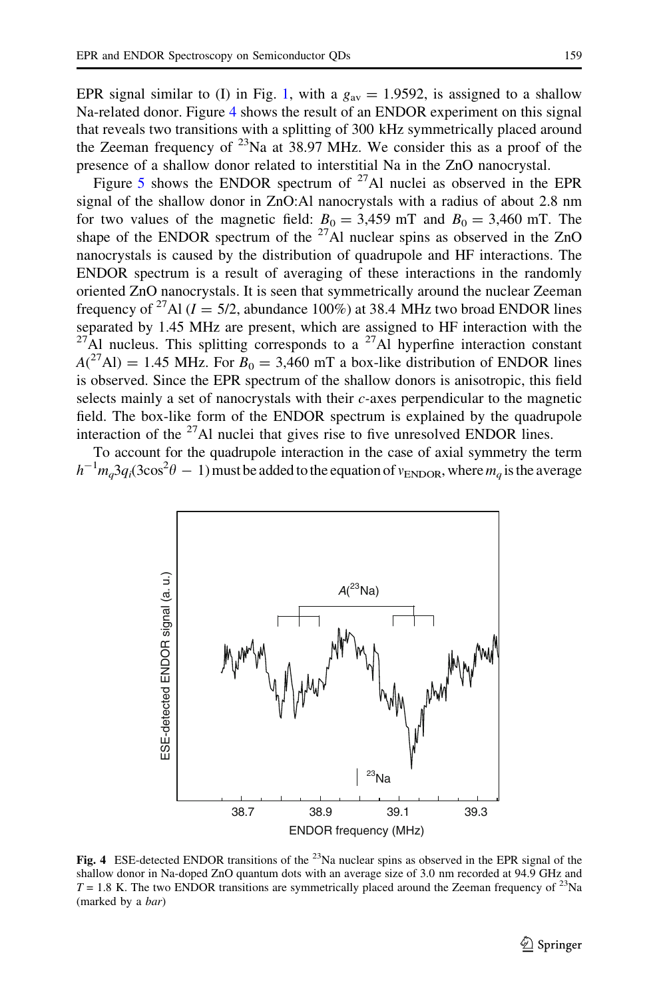<span id="page-8-0"></span>Figure [5](#page-9-0) shows the ENDOR spectrum of  $27$ Al nuclei as observed in the EPR signal of the shallow donor in ZnO:Al nanocrystals with a radius of about 2.8 nm for two values of the magnetic field:  $B_0 = 3{,}459$  mT and  $B_0 = 3{,}460$  mT. The shape of the ENDOR spectrum of the  $^{27}$ Al nuclear spins as observed in the ZnO nanocrystals is caused by the distribution of quadrupole and HF interactions. The ENDOR spectrum is a result of averaging of these interactions in the randomly oriented ZnO nanocrystals. It is seen that symmetrically around the nuclear Zeeman frequency of <sup>27</sup>Al ( $I = 5/2$ , abundance 100%) at 38.4 MHz two broad ENDOR lines separated by 1.45 MHz are present, which are assigned to HF interaction with the  $^{27}$ Al nucleus. This splitting corresponds to a  $^{27}$ Al hyperfine interaction constant  $A(^{27}Al) = 1.45$  MHz. For  $B_0 = 3,460$  mT a box-like distribution of ENDOR lines is observed. Since the EPR spectrum of the shallow donors is anisotropic, this field selects mainly a set of nanocrystals with their c-axes perpendicular to the magnetic field. The box-like form of the ENDOR spectrum is explained by the quadrupole interaction of the  $27$ Al nuclei that gives rise to five unresolved ENDOR lines.

To account for the quadrupole interaction in the case of axial symmetry the term  $h^{-1}m_q3q_i(3\cos^2\theta-1)$  must be added to the equation of  $v_{\rm ENDOR}$ , where  $m_q$  is the average



Fig. 4 ESE-detected ENDOR transitions of the  $^{23}$ Na nuclear spins as observed in the EPR signal of the shallow donor in Na-doped ZnO quantum dots with an average size of 3.0 nm recorded at 94.9 GHz and  $T = 1.8$  K. The two ENDOR transitions are symmetrically placed around the Zeeman frequency of <sup>23</sup>Na (marked by a bar)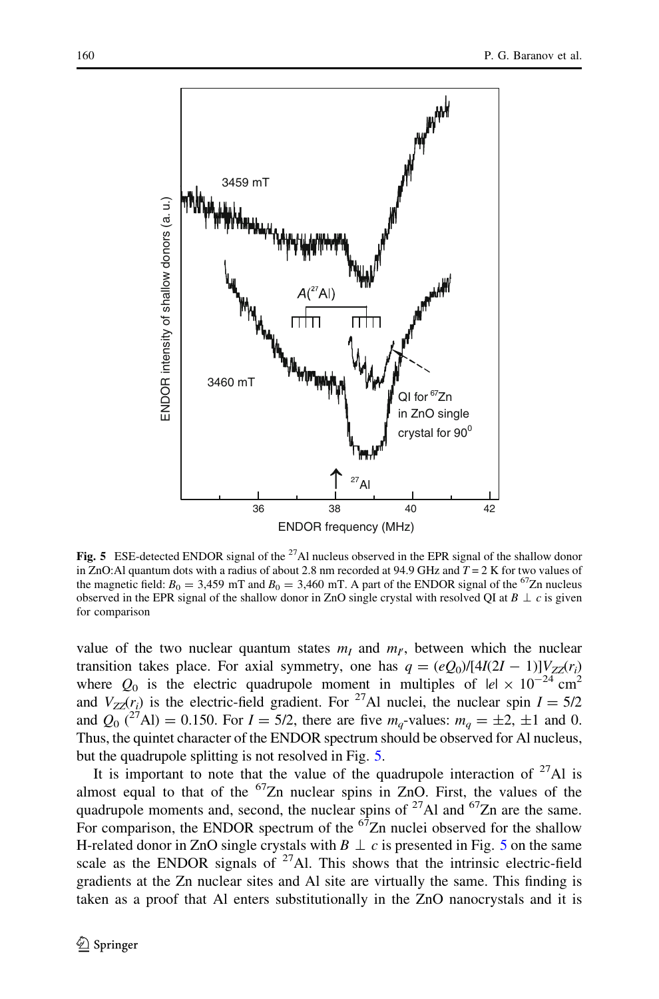<span id="page-9-0"></span>

Fig. 5 ESE-detected ENDOR signal of the <sup>27</sup>Al nucleus observed in the EPR signal of the shallow donor in ZnO:Al quantum dots with a radius of about 2.8 nm recorded at 94.9 GHz and  $T = 2$  K for two values of the magnetic field:  $B_0 = 3{,}459$  mT and  $B_0 = 3{,}460$  mT. A part of the ENDOR signal of the <sup>67</sup>Zn nucleus observed in the EPR signal of the shallow donor in ZnO single crystal with resolved QI at  $B \perp c$  is given for comparison

value of the two nuclear quantum states  $m<sub>I</sub>$  and  $m<sub>I'</sub>$ , between which the nuclear transition takes place. For axial symmetry, one has  $q = (eQ_0)/[4I(2I - 1)]V_{ZZ}(r_i)$ where  $Q_0$  is the electric quadrupole moment in multiples of  $|e| \times 10^{-24}$  cm<sup>2</sup> and  $V_{ZZ}(r_i)$  is the electric-field gradient. For <sup>27</sup>Al nuclei, the nuclear spin  $I = 5/2$ and  $Q_0$  (<sup>27</sup>Al) = 0.150. For  $I = 5/2$ , there are five  $m_q$ -values:  $m_q = \pm 2$ ,  $\pm 1$  and 0. Thus, the quintet character of the ENDOR spectrum should be observed for Al nucleus, but the quadrupole splitting is not resolved in Fig. 5.

It is important to note that the value of the quadrupole interaction of  $27$ Al is almost equal to that of the  $^{67}Zn$  nuclear spins in ZnO. First, the values of the quadrupole moments and, second, the nuclear spins of  $^{27}$ Al and  $^{67}$ Zn are the same. For comparison, the ENDOR spectrum of the  ${}^{67}Zn$  nuclei observed for the shallow H-related donor in ZnO single crystals with  $B \perp c$  is presented in Fig. 5 on the same scale as the ENDOR signals of  $27$ Al. This shows that the intrinsic electric-field gradients at the Zn nuclear sites and Al site are virtually the same. This finding is taken as a proof that Al enters substitutionally in the ZnO nanocrystals and it is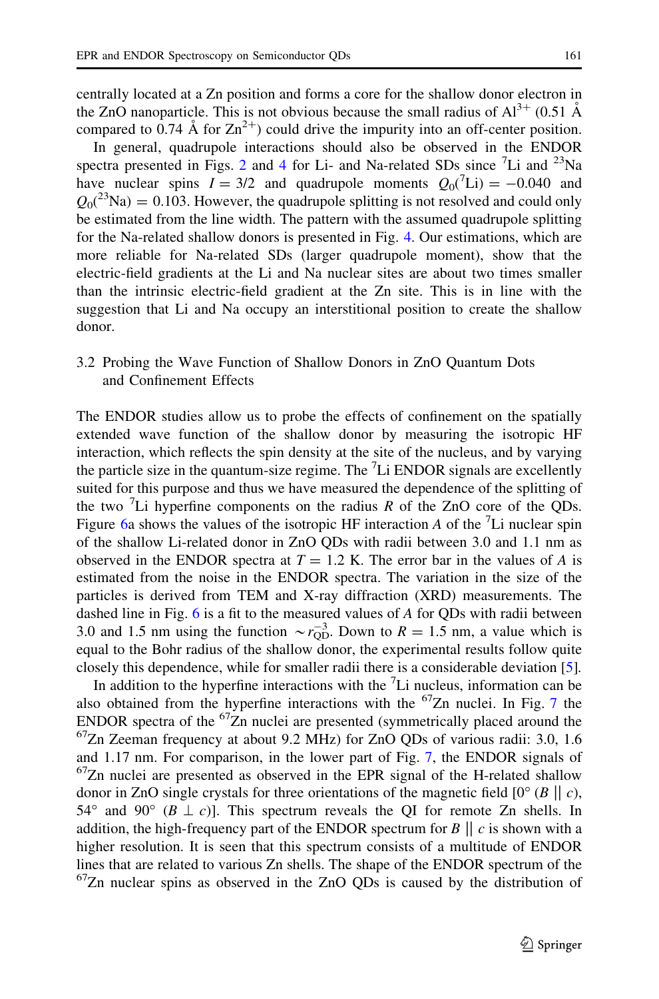<span id="page-10-0"></span>centrally located at a Zn position and forms a core for the shallow donor electron in the ZnO nanoparticle. This is not obvious because the small radius of  $Al^{3+}$  (0.51 Å compared to 0.74 Å for  $\text{Zn}^{2+}$ ) could drive the impurity into an off-center position.

In general, quadrupole interactions should also be observed in the ENDOR spectra presented in Figs. [2](#page-6-0) and [4](#page-8-0) for Li- and Na-related SDs since  ${}^{7}$ Li and  ${}^{23}$ Na have nuclear spins  $I = 3/2$  and quadrupole moments  $Q_0({}^7\text{Li}) = -0.040$  and  $Q_0(^{23}Na) = 0.103$ . However, the quadrupole splitting is not resolved and could only be estimated from the line width. The pattern with the assumed quadrupole splitting for the Na-related shallow donors is presented in Fig. [4](#page-8-0). Our estimations, which are more reliable for Na-related SDs (larger quadrupole moment), show that the electric-field gradients at the Li and Na nuclear sites are about two times smaller than the intrinsic electric-field gradient at the Zn site. This is in line with the suggestion that Li and Na occupy an interstitional position to create the shallow donor.

## 3.2 Probing the Wave Function of Shallow Donors in ZnO Quantum Dots and Confinement Effects

The ENDOR studies allow us to probe the effects of confinement on the spatially extended wave function of the shallow donor by measuring the isotropic HF interaction, which reflects the spin density at the site of the nucleus, and by varying the particle size in the quantum-size regime. The  ${}^{7}$ Li ENDOR signals are excellently suited for this purpose and thus we have measured the dependence of the splitting of the two  $\frac{7}{1}$  hyperfine components on the radius R of the ZnO core of the QDs. Figure [6](#page-11-0)a shows the values of the isotropic HF interaction A of the  ${}^{7}$ Li nuclear spin of the shallow Li-related donor in ZnO QDs with radii between 3.0 and 1.1 nm as observed in the ENDOR spectra at  $T = 1.2$  K. The error bar in the values of A is estimated from the noise in the ENDOR spectra. The variation in the size of the particles is derived from TEM and X-ray diffraction (XRD) measurements. The dashed line in Fig. [6](#page-11-0) is a fit to the measured values of A for QDs with radii between 3.0 and 1.5 nm using the function  $\sim r_{\text{QD}}^{-3}$ . Down to  $R = 1.5$  nm, a value which is equal to the Bohr radius of the shallow donor, the experimental results follow quite closely this dependence, while for smaller radii there is a considerable deviation [[5\]](#page-31-0).

In addition to the hyperfine interactions with the  ${}^{7}$ Li nucleus, information can be also obtained from the hyperfine interactions with the  $^{67}Zn$  $^{67}Zn$  $^{67}Zn$  nuclei. In Fig. 7 the ENDOR spectra of the  ${}^{67}Zn$  nuclei are presented (symmetrically placed around the 67Zn Zeeman frequency at about 9.2 MHz) for ZnO QDs of various radii: 3.0, 1.6 and 1.17 nm. For comparison, in the lower part of Fig. [7](#page-13-0), the ENDOR signals of  $67Zn$  nuclei are presented as observed in the EPR signal of the H-related shallow donor in ZnO single crystals for three orientations of the magnetic field  $[0^{\circ}$  (B  $|| c)$ , 54° and 90° ( $B \perp c$ ). This spectrum reveals the QI for remote Zn shells. In addition, the high-frequency part of the ENDOR spectrum for  $B \parallel c$  is shown with a higher resolution. It is seen that this spectrum consists of a multitude of ENDOR lines that are related to various Zn shells. The shape of the ENDOR spectrum of the  $67Zn$  nuclear spins as observed in the ZnO QDs is caused by the distribution of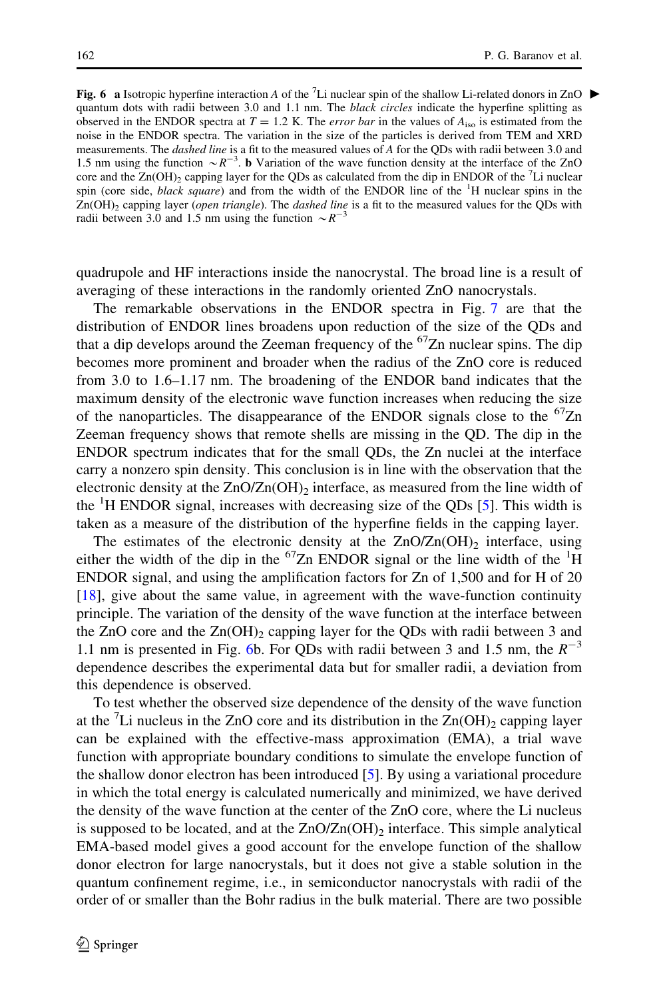<span id="page-11-0"></span>Fig. 6 a Isotropic hyperfine interaction A of the <sup>7</sup>Li nuclear spin of the shallow Li-related donors in ZnO  $\blacktriangleright$ quantum dots with radii between 3.0 and 1.1 nm. The *black circles* indicate the hyperfine splitting as observed in the ENDOR spectra at  $T = 1.2$  K. The *error bar* in the values of  $A_{iso}$  is estimated from the noise in the ENDOR spectra. The variation in the size of the particles is derived from TEM and XRD measurements. The *dashed line* is a fit to the measured values of A for the ODs with radii between 3.0 and 1.5 nm using the function  $\sim R^{-3}$ . **b** Variation of the wave function density at the interface of the ZnO core and the  $Zn(OH)_2$  capping layer for the QDs as calculated from the dip in ENDOR of the <sup>7</sup>Li nuclear spin (core side, *black square*) and from the width of the ENDOR line of the <sup>1</sup>H nuclear spins in the Zn(OH)<sub>2</sub> capping layer (open triangle). The dashed line is a fit to the measured values for the QDs with radii between 3.0 and 1.5 nm using the function  $\sim R^{-3}$ 

quadrupole and HF interactions inside the nanocrystal. The broad line is a result of averaging of these interactions in the randomly oriented ZnO nanocrystals.

The remarkable observations in the ENDOR spectra in Fig. [7](#page-13-0) are that the distribution of ENDOR lines broadens upon reduction of the size of the QDs and that a dip develops around the Zeeman frequency of the  $^{67}Zn$  nuclear spins. The dip becomes more prominent and broader when the radius of the ZnO core is reduced from 3.0 to 1.6–1.17 nm. The broadening of the ENDOR band indicates that the maximum density of the electronic wave function increases when reducing the size of the nanoparticles. The disappearance of the ENDOR signals close to the  ${}^{67}Zn$ Zeeman frequency shows that remote shells are missing in the QD. The dip in the ENDOR spectrum indicates that for the small QDs, the Zn nuclei at the interface carry a nonzero spin density. This conclusion is in line with the observation that the electronic density at the  $ZnO/Zn(OH)$ <sub>2</sub> interface, as measured from the line width of the  ${}^{1}$ H ENDOR signal, increases with decreasing size of the QDs [[5\]](#page-31-0). This width is taken as a measure of the distribution of the hyperfine fields in the capping layer.

The estimates of the electronic density at the  $ZnO/Zn(OH)_2$  interface, using either the width of the dip in the  $^{67}Zn$  ENDOR signal or the line width of the  $^{1}H$ ENDOR signal, and using the amplification factors for Zn of 1,500 and for H of 20 [\[18](#page-32-0)], give about the same value, in agreement with the wave-function continuity principle. The variation of the density of the wave function at the interface between the ZnO core and the  $Zn(OH)_2$  capping layer for the QDs with radii between 3 and 1.1 nm is presented in Fig. 6b. For QDs with radii between 3 and 1.5 nm, the  $R^{-3}$ dependence describes the experimental data but for smaller radii, a deviation from this dependence is observed.

To test whether the observed size dependence of the density of the wave function at the  ${}^{7}$ Li nucleus in the ZnO core and its distribution in the  $Zn(OH)_2$  capping layer can be explained with the effective-mass approximation (EMA), a trial wave function with appropriate boundary conditions to simulate the envelope function of the shallow donor electron has been introduced [[5\]](#page-31-0). By using a variational procedure in which the total energy is calculated numerically and minimized, we have derived the density of the wave function at the center of the ZnO core, where the Li nucleus is supposed to be located, and at the  $ZnO/Zn(OH)_2$  interface. This simple analytical EMA-based model gives a good account for the envelope function of the shallow donor electron for large nanocrystals, but it does not give a stable solution in the quantum confinement regime, i.e., in semiconductor nanocrystals with radii of the order of or smaller than the Bohr radius in the bulk material. There are two possible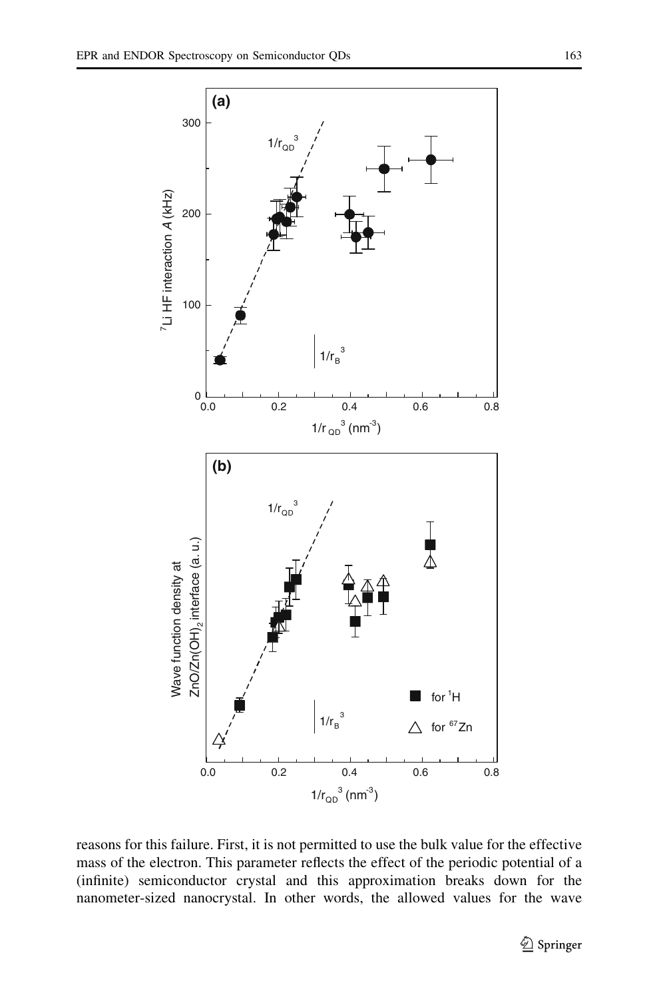

reasons for this failure. First, it is not permitted to use the bulk value for the effective mass of the electron. This parameter reflects the effect of the periodic potential of a (infinite) semiconductor crystal and this approximation breaks down for the nanometer-sized nanocrystal. In other words, the allowed values for the wave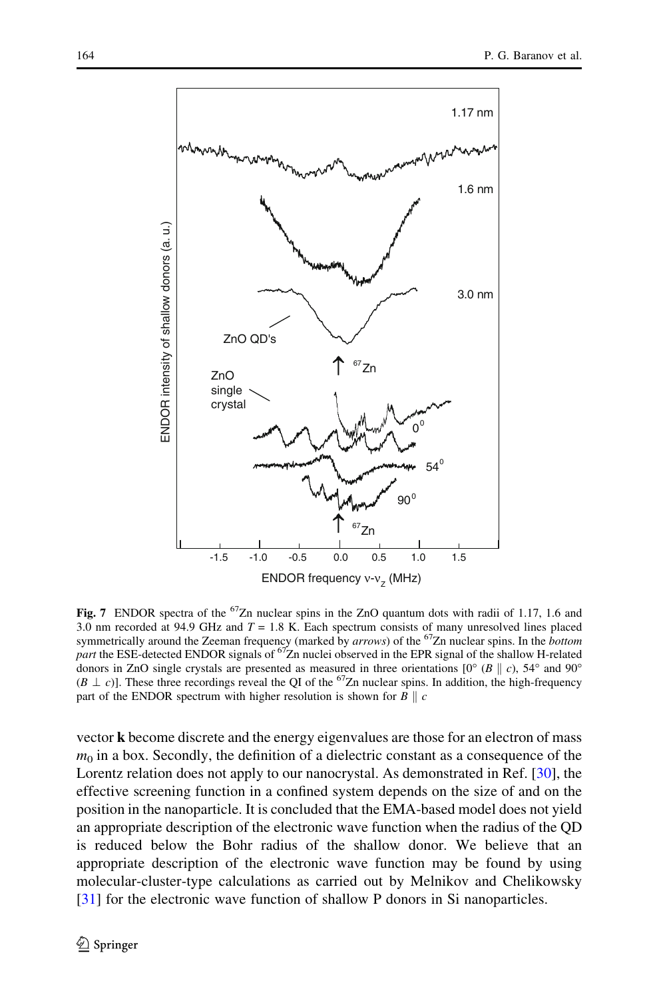<span id="page-13-0"></span>

Fig. 7 ENDOR spectra of the  $^{67}Zn$  nuclear spins in the ZnO quantum dots with radii of 1.17, 1.6 and 3.0 nm recorded at 94.9 GHz and  $T = 1.8$  K. Each spectrum consists of many unresolved lines placed symmetrically around the Zeeman frequency (marked by arrows) of the <sup>67</sup>Zn nuclear spins. In the *bottom* part the ESE-detected ENDOR signals of  $\frac{67}{2}$ n nuclei observed in the EPR signal of the shallow H-related donors in ZnO single crystals are presented as measured in three orientations  $[0^{\circ} (B \parallel c), 54^{\circ}]$  and  $90^{\circ}$  $(B \perp c)$ . These three recordings reveal the QI of the <sup>67</sup>Zn nuclear spins. In addition, the high-frequency part of the ENDOR spectrum with higher resolution is shown for  $\overline{B} \parallel c$ 

vector k become discrete and the energy eigenvalues are those for an electron of mass  $m<sub>0</sub>$  in a box. Secondly, the definition of a dielectric constant as a consequence of the Lorentz relation does not apply to our nanocrystal. As demonstrated in Ref. [[30\]](#page-32-0), the effective screening function in a confined system depends on the size of and on the position in the nanoparticle. It is concluded that the EMA-based model does not yield an appropriate description of the electronic wave function when the radius of the QD is reduced below the Bohr radius of the shallow donor. We believe that an appropriate description of the electronic wave function may be found by using molecular-cluster-type calculations as carried out by Melnikov and Chelikowsky [\[31](#page-32-0)] for the electronic wave function of shallow P donors in Si nanoparticles.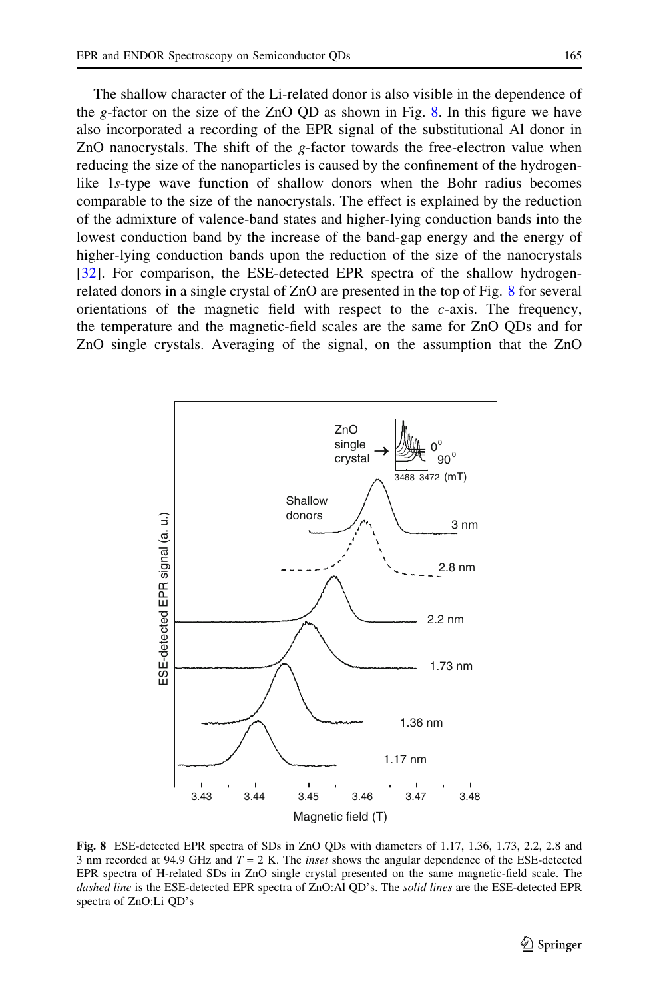The shallow character of the Li-related donor is also visible in the dependence of the g-factor on the size of the ZnO QD as shown in Fig. 8. In this figure we have also incorporated a recording of the EPR signal of the substitutional Al donor in ZnO nanocrystals. The shift of the  $g$ -factor towards the free-electron value when reducing the size of the nanoparticles is caused by the confinement of the hydrogenlike 1s-type wave function of shallow donors when the Bohr radius becomes comparable to the size of the nanocrystals. The effect is explained by the reduction of the admixture of valence-band states and higher-lying conduction bands into the lowest conduction band by the increase of the band-gap energy and the energy of higher-lying conduction bands upon the reduction of the size of the nanocrystals [\[32](#page-32-0)]. For comparison, the ESE-detected EPR spectra of the shallow hydrogenrelated donors in a single crystal of ZnO are presented in the top of Fig. 8 for several orientations of the magnetic field with respect to the  $c$ -axis. The frequency, the temperature and the magnetic-field scales are the same for ZnO QDs and for ZnO single crystals. Averaging of the signal, on the assumption that the ZnO



Fig. 8 ESE-detected EPR spectra of SDs in ZnO QDs with diameters of 1.17, 1.36, 1.73, 2.2, 2.8 and 3 nm recorded at 94.9 GHz and  $T = 2$  K. The *inset* shows the angular dependence of the ESE-detected EPR spectra of H-related SDs in ZnO single crystal presented on the same magnetic-field scale. The dashed line is the ESE-detected EPR spectra of ZnO:Al OD's. The *solid lines* are the ESE-detected EPR spectra of ZnO:Li QD's

 $\circledcirc$  Springer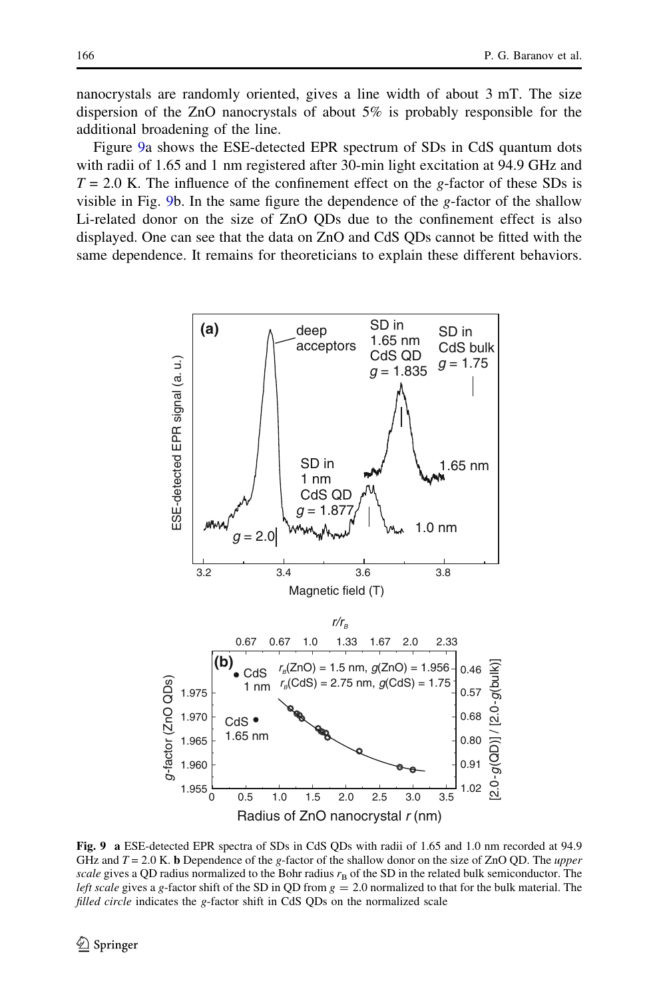nanocrystals are randomly oriented, gives a line width of about 3 mT. The size dispersion of the ZnO nanocrystals of about 5% is probably responsible for the additional broadening of the line.

Figure 9a shows the ESE-detected EPR spectrum of SDs in CdS quantum dots with radii of 1.65 and 1 nm registered after 30-min light excitation at 94.9 GHz and  $T = 2.0$  K. The influence of the confinement effect on the g-factor of these SDs is visible in Fig. 9b. In the same figure the dependence of the g-factor of the shallow Li-related donor on the size of ZnO QDs due to the confinement effect is also displayed. One can see that the data on ZnO and CdS QDs cannot be fitted with the same dependence. It remains for theoreticians to explain these different behaviors.



Fig. 9 a ESE-detected EPR spectra of SDs in CdS QDs with radii of 1.65 and 1.0 nm recorded at 94.9 GHz and  $T = 2.0$  K. **b** Dependence of the g-factor of the shallow donor on the size of ZnO QD. The upper scale gives a QD radius normalized to the Bohr radius  $r_B$  of the SD in the related bulk semiconductor. The left scale gives a g-factor shift of the SD in QD from  $g = 2.0$  normalized to that for the bulk material. The filled circle indicates the g-factor shift in CdS QDs on the normalized scale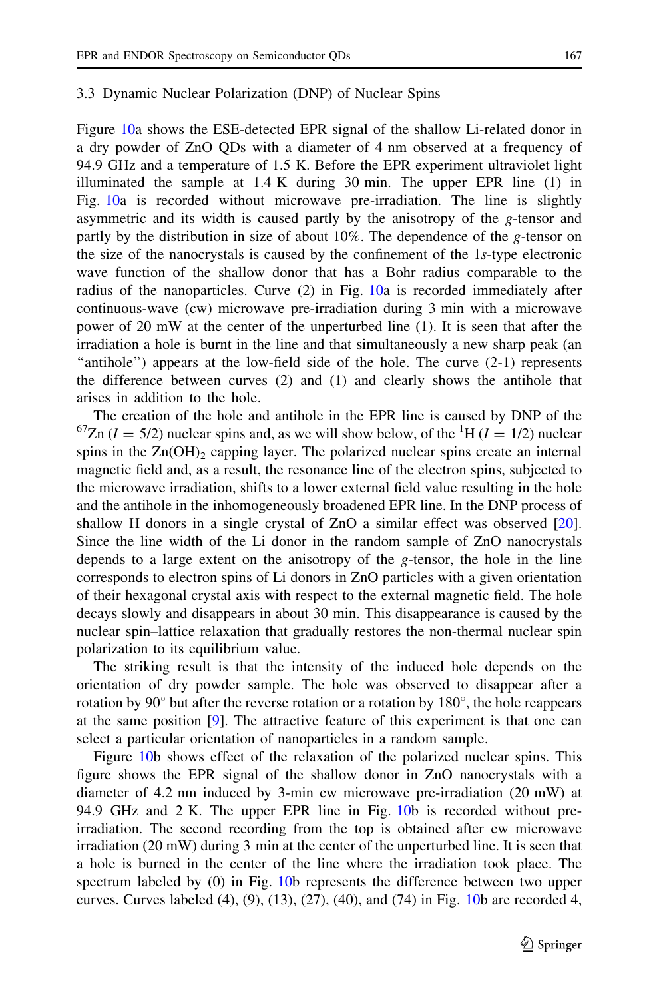### 3.3 Dynamic Nuclear Polarization (DNP) of Nuclear Spins

Figure [10](#page-17-0)a shows the ESE-detected EPR signal of the shallow Li-related donor in a dry powder of ZnO QDs with a diameter of 4 nm observed at a frequency of 94.9 GHz and a temperature of 1.5 K. Before the EPR experiment ultraviolet light illuminated the sample at 1.4 K during 30 min. The upper EPR line (1) in Fig. [10](#page-17-0)a is recorded without microwave pre-irradiation. The line is slightly asymmetric and its width is caused partly by the anisotropy of the g-tensor and partly by the distribution in size of about 10%. The dependence of the g-tensor on the size of the nanocrystals is caused by the confinement of the 1s-type electronic wave function of the shallow donor that has a Bohr radius comparable to the radius of the nanoparticles. Curve (2) in Fig. [10a](#page-17-0) is recorded immediately after continuous-wave (cw) microwave pre-irradiation during 3 min with a microwave power of 20 mW at the center of the unperturbed line (1). It is seen that after the irradiation a hole is burnt in the line and that simultaneously a new sharp peak (an "antihole") appears at the low-field side of the hole. The curve  $(2-1)$  represents the difference between curves (2) and (1) and clearly shows the antihole that arises in addition to the hole.

The creation of the hole and antihole in the EPR line is caused by DNP of the <sup>67</sup>Zn ( $I = 5/2$ ) nuclear spins and, as we will show below, of the <sup>1</sup>H ( $I = 1/2$ ) nuclear spins in the  $Zn(OH)$ <sub>2</sub> capping layer. The polarized nuclear spins create an internal magnetic field and, as a result, the resonance line of the electron spins, subjected to the microwave irradiation, shifts to a lower external field value resulting in the hole and the antihole in the inhomogeneously broadened EPR line. In the DNP process of shallow H donors in a single crystal of ZnO a similar effect was observed [[20\]](#page-32-0). Since the line width of the Li donor in the random sample of ZnO nanocrystals depends to a large extent on the anisotropy of the g-tensor, the hole in the line corresponds to electron spins of Li donors in ZnO particles with a given orientation of their hexagonal crystal axis with respect to the external magnetic field. The hole decays slowly and disappears in about 30 min. This disappearance is caused by the nuclear spin–lattice relaxation that gradually restores the non-thermal nuclear spin polarization to its equilibrium value.

The striking result is that the intensity of the induced hole depends on the orientation of dry powder sample. The hole was observed to disappear after a rotation by  $90^{\circ}$  but after the reverse rotation or a rotation by  $180^{\circ}$ , the hole reappears at the same position [[9\]](#page-31-0). The attractive feature of this experiment is that one can select a particular orientation of nanoparticles in a random sample.

Figure [10](#page-17-0)b shows effect of the relaxation of the polarized nuclear spins. This figure shows the EPR signal of the shallow donor in ZnO nanocrystals with a diameter of 4.2 nm induced by 3-min cw microwave pre-irradiation (20 mW) at 94.9 GHz and 2 K. The upper EPR line in Fig. [10](#page-17-0)b is recorded without preirradiation. The second recording from the top is obtained after cw microwave irradiation (20 mW) during 3 min at the center of the unperturbed line. It is seen that a hole is burned in the center of the line where the irradiation took place. The spectrum labeled by (0) in Fig. [10](#page-17-0)b represents the difference between two upper curves. Curves labeled  $(4)$ ,  $(9)$ ,  $(13)$ ,  $(27)$ ,  $(40)$ , and  $(74)$  in Fig. [10](#page-17-0)b are recorded 4,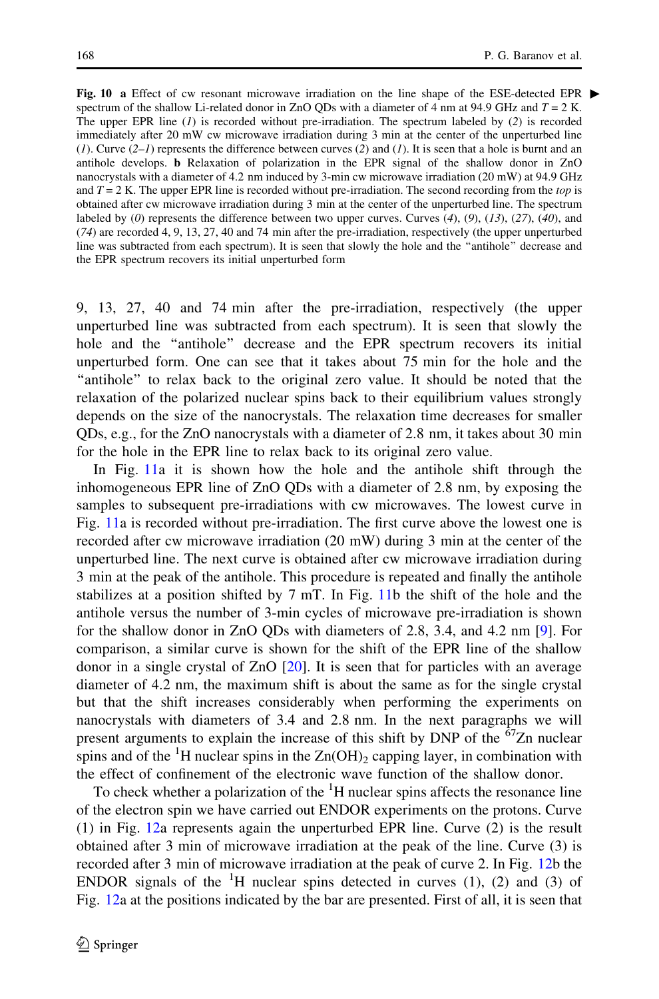<span id="page-17-0"></span>Fig. 10 a Effect of cw resonant microwave irradiation on the line shape of the ESE-detected EPR  $\blacktriangleright$ spectrum of the shallow Li-related donor in ZnO ODs with a diameter of 4 nm at 94.9 GHz and  $T = 2$  K. The upper EPR line  $(I)$  is recorded without pre-irradiation. The spectrum labeled by  $(2)$  is recorded immediately after 20 mW cw microwave irradiation during 3 min at the center of the unperturbed line (1). Curve  $(2-1)$  represents the difference between curves (2) and (1). It is seen that a hole is burnt and an antihole develops. b Relaxation of polarization in the EPR signal of the shallow donor in ZnO nanocrystals with a diameter of 4.2 nm induced by 3-min cw microwave irradiation (20 mW) at 94.9 GHz and  $T = 2$  K. The upper EPR line is recorded without pre-irradiation. The second recording from the *top* is obtained after cw microwave irradiation during 3 min at the center of the unperturbed line. The spectrum labeled by  $(0)$  represents the difference between two upper curves. Curves  $(4)$ ,  $(9)$ ,  $(13)$ ,  $(27)$ ,  $(40)$ , and (74) are recorded 4, 9, 13, 27, 40 and 74 min after the pre-irradiation, respectively (the upper unperturbed line was subtracted from each spectrum). It is seen that slowly the hole and the ''antihole'' decrease and the EPR spectrum recovers its initial unperturbed form

9, 13, 27, 40 and 74 min after the pre-irradiation, respectively (the upper unperturbed line was subtracted from each spectrum). It is seen that slowly the hole and the "antihole" decrease and the EPR spectrum recovers its initial unperturbed form. One can see that it takes about 75 min for the hole and the ''antihole'' to relax back to the original zero value. It should be noted that the relaxation of the polarized nuclear spins back to their equilibrium values strongly depends on the size of the nanocrystals. The relaxation time decreases for smaller QDs, e.g., for the ZnO nanocrystals with a diameter of 2.8 nm, it takes about 30 min for the hole in the EPR line to relax back to its original zero value.

In Fig. [11a](#page-19-0) it is shown how the hole and the antihole shift through the inhomogeneous EPR line of ZnO QDs with a diameter of 2.8 nm, by exposing the samples to subsequent pre-irradiations with cw microwaves. The lowest curve in Fig. [11](#page-19-0)a is recorded without pre-irradiation. The first curve above the lowest one is recorded after cw microwave irradiation (20 mW) during 3 min at the center of the unperturbed line. The next curve is obtained after cw microwave irradiation during 3 min at the peak of the antihole. This procedure is repeated and finally the antihole stabilizes at a position shifted by 7 mT. In Fig. [11](#page-19-0)b the shift of the hole and the antihole versus the number of 3-min cycles of microwave pre-irradiation is shown for the shallow donor in ZnO QDs with diameters of 2.8, 3.4, and 4.2 nm [\[9](#page-31-0)]. For comparison, a similar curve is shown for the shift of the EPR line of the shallow donor in a single crystal of  $ZnO$  [[20](#page-32-0)]. It is seen that for particles with an average diameter of 4.2 nm, the maximum shift is about the same as for the single crystal but that the shift increases considerably when performing the experiments on nanocrystals with diameters of 3.4 and 2.8 nm. In the next paragraphs we will present arguments to explain the increase of this shift by DNP of the  $67Zn$  nuclear spins and of the <sup>1</sup>H nuclear spins in the  $Zn(OH)_2$  capping layer, in combination with the effect of confinement of the electronic wave function of the shallow donor.

To check whether a polarization of the  ${}^{1}H$  nuclear spins affects the resonance line of the electron spin we have carried out ENDOR experiments on the protons. Curve (1) in Fig. [12a](#page-20-0) represents again the unperturbed EPR line. Curve (2) is the result obtained after 3 min of microwave irradiation at the peak of the line. Curve (3) is recorded after 3 min of microwave irradiation at the peak of curve 2. In Fig. [12b](#page-20-0) the ENDOR signals of the  ${}^{1}H$  nuclear spins detected in curves (1), (2) and (3) of Fig. [12](#page-20-0)a at the positions indicated by the bar are presented. First of all, it is seen that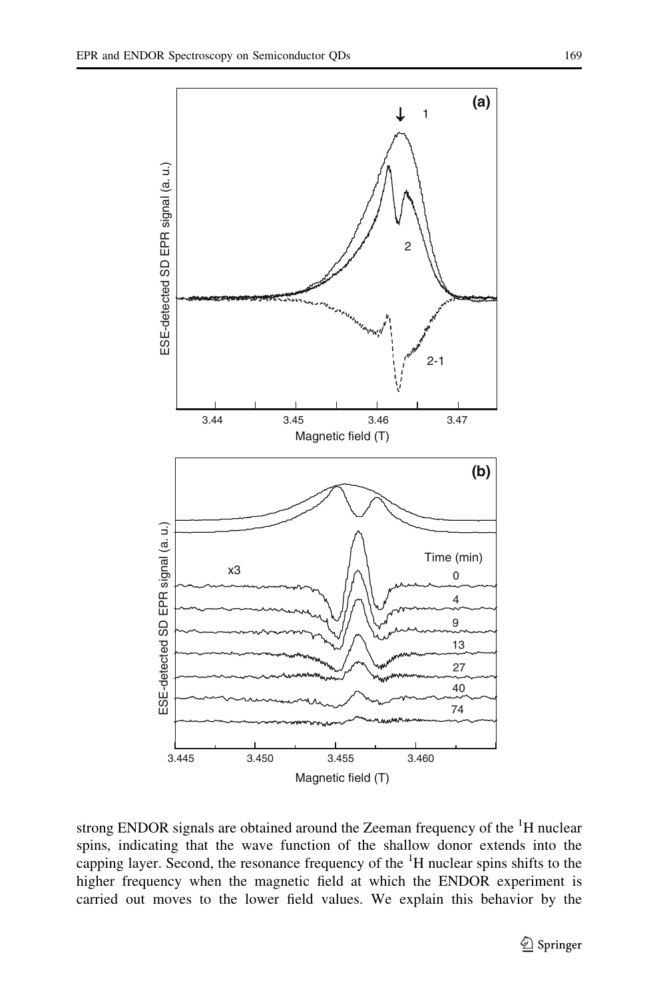

strong ENDOR signals are obtained around the Zeeman frequency of the <sup>1</sup>H nuclear spins, indicating that the wave function of the shallow donor extends into the capping layer. Second, the resonance frequency of the  ${}^{1}H$  nuclear spins shifts to the higher frequency when the magnetic field at which the ENDOR experiment is carried out moves to the lower field values. We explain this behavior by the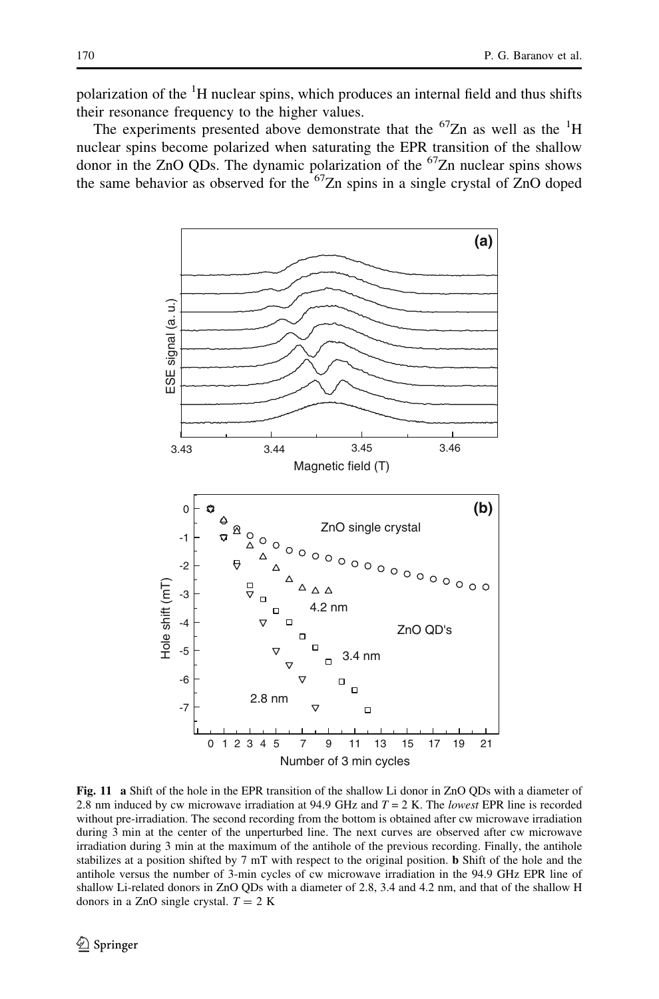<span id="page-19-0"></span>polarization of the <sup>1</sup>H nuclear spins, which produces an internal field and thus shifts their resonance frequency to the higher values.

The experiments presented above demonstrate that the  ${}^{67}Zn$  as well as the  ${}^{1}H$ nuclear spins become polarized when saturating the EPR transition of the shallow donor in the ZnO QDs. The dynamic polarization of the  ${}^{67}Zn$  nuclear spins shows the same behavior as observed for the  $67$ Zn spins in a single crystal of  $\overline{Z}$ nO doped



Fig. 11 a Shift of the hole in the EPR transition of the shallow Li donor in ZnO QDs with a diameter of 2.8 nm induced by cw microwave irradiation at 94.9 GHz and  $T = 2$  K. The *lowest* EPR line is recorded without pre-irradiation. The second recording from the bottom is obtained after cw microwave irradiation during 3 min at the center of the unperturbed line. The next curves are observed after cw microwave irradiation during 3 min at the maximum of the antihole of the previous recording. Finally, the antihole stabilizes at a position shifted by 7 mT with respect to the original position. b Shift of the hole and the antihole versus the number of 3-min cycles of cw microwave irradiation in the 94.9 GHz EPR line of shallow Li-related donors in ZnO QDs with a diameter of 2.8, 3.4 and 4.2 nm, and that of the shallow H donors in a ZnO single crystal.  $T = 2$  K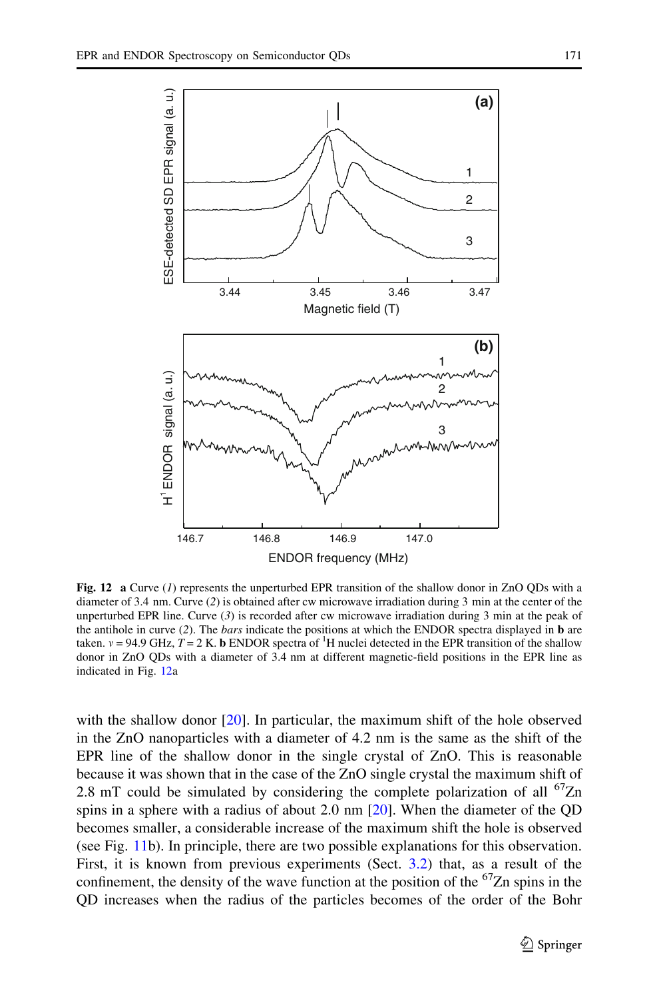<span id="page-20-0"></span>

Fig. 12 a Curve  $(1)$  represents the unperturbed EPR transition of the shallow donor in ZnO QDs with a diameter of 3.4 nm. Curve (2) is obtained after cw microwave irradiation during 3 min at the center of the unperturbed EPR line. Curve  $(3)$  is recorded after cw microwave irradiation during 3 min at the peak of the antihole in curve (2). The *bars* indicate the positions at which the ENDOR spectra displayed in **b** are taken.  $v = 94.9$  GHz,  $T = 2$  K. b ENDOR spectra of <sup>1</sup>H nuclei detected in the EPR transition of the shallow donor in ZnO QDs with a diameter of 3.4 nm at different magnetic-field positions in the EPR line as indicated in Fig. 12a

with the shallow donor  $[20]$  $[20]$ . In particular, the maximum shift of the hole observed in the ZnO nanoparticles with a diameter of 4.2 nm is the same as the shift of the EPR line of the shallow donor in the single crystal of ZnO. This is reasonable because it was shown that in the case of the ZnO single crystal the maximum shift of 2.8 mT could be simulated by considering the complete polarization of all  $^{67}Zn$ spins in a sphere with a radius of about 2.0 nm [[20\]](#page-32-0). When the diameter of the QD becomes smaller, a considerable increase of the maximum shift the hole is observed (see Fig. [11b](#page-19-0)). In principle, there are two possible explanations for this observation. First, it is known from previous experiments (Sect. [3.2](#page-10-0)) that, as a result of the confinement, the density of the wave function at the position of the  $^{67}Zn$  spins in the QD increases when the radius of the particles becomes of the order of the Bohr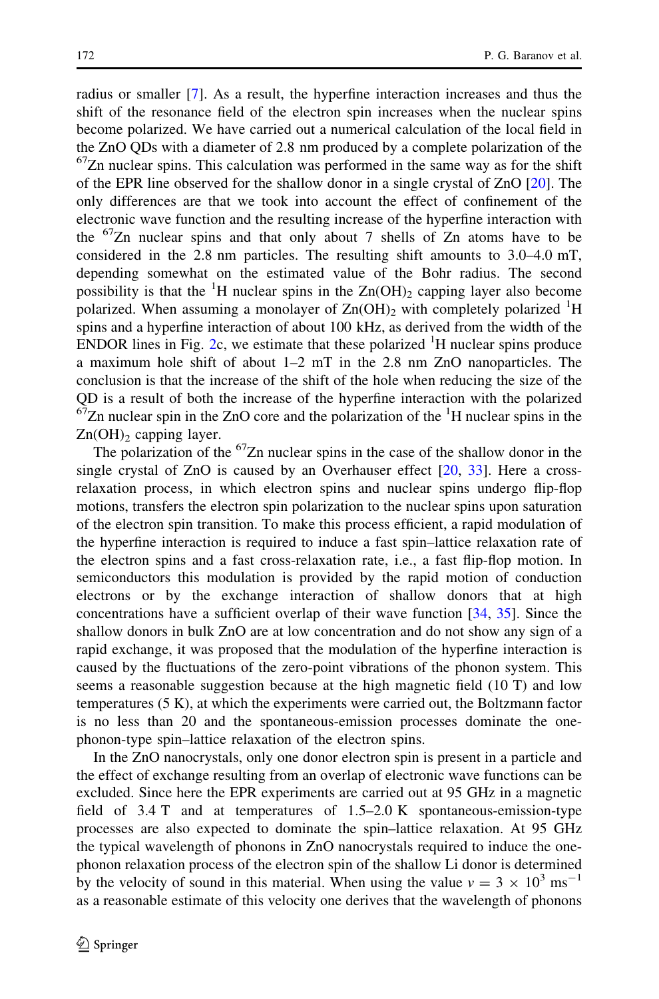radius or smaller [[7\]](#page-31-0). As a result, the hyperfine interaction increases and thus the shift of the resonance field of the electron spin increases when the nuclear spins become polarized. We have carried out a numerical calculation of the local field in the ZnO QDs with a diameter of 2.8 nm produced by a complete polarization of the  $67Zn$  nuclear spins. This calculation was performed in the same way as for the shift of the EPR line observed for the shallow donor in a single crystal of ZnO [\[20](#page-32-0)]. The only differences are that we took into account the effect of confinement of the electronic wave function and the resulting increase of the hyperfine interaction with the  $^{67}Zn$  nuclear spins and that only about 7 shells of  $Zn$  atoms have to be considered in the 2.8 nm particles. The resulting shift amounts to 3.0–4.0 mT, depending somewhat on the estimated value of the Bohr radius. The second possibility is that the  ${}^{1}H$  nuclear spins in the  $Zn(OH)_2$  capping layer also become polarized. When assuming a monolayer of  $\text{Zn}(\text{OH})_2$  with completely polarized <sup>1</sup>H spins and a hyperfine interaction of about 100 kHz, as derived from the width of the ENDOR lines in Fig. [2c](#page-6-0), we estimate that these polarized  ${}^{1}H$  nuclear spins produce a maximum hole shift of about 1–2 mT in the 2.8 nm ZnO nanoparticles. The conclusion is that the increase of the shift of the hole when reducing the size of the QD is a result of both the increase of the hyperfine interaction with the polarized  ${}^{67}Zn$  nuclear spin in the ZnO core and the polarization of the  ${}^{1}H$  nuclear spins in the  $Zn(OH)$ <sub>2</sub> capping layer.

The polarization of the  $^{67}Zn$  nuclear spins in the case of the shallow donor in the single crystal of ZnO is caused by an Overhauser effect [[20,](#page-32-0) [33](#page-32-0)]. Here a crossrelaxation process, in which electron spins and nuclear spins undergo flip-flop motions, transfers the electron spin polarization to the nuclear spins upon saturation of the electron spin transition. To make this process efficient, a rapid modulation of the hyperfine interaction is required to induce a fast spin–lattice relaxation rate of the electron spins and a fast cross-relaxation rate, i.e., a fast flip-flop motion. In semiconductors this modulation is provided by the rapid motion of conduction electrons or by the exchange interaction of shallow donors that at high concentrations have a sufficient overlap of their wave function [\[34](#page-32-0), [35](#page-32-0)]. Since the shallow donors in bulk ZnO are at low concentration and do not show any sign of a rapid exchange, it was proposed that the modulation of the hyperfine interaction is caused by the fluctuations of the zero-point vibrations of the phonon system. This seems a reasonable suggestion because at the high magnetic field (10 T) and low temperatures (5 K), at which the experiments were carried out, the Boltzmann factor is no less than 20 and the spontaneous-emission processes dominate the onephonon-type spin–lattice relaxation of the electron spins.

In the ZnO nanocrystals, only one donor electron spin is present in a particle and the effect of exchange resulting from an overlap of electronic wave functions can be excluded. Since here the EPR experiments are carried out at 95 GHz in a magnetic field of  $3.4$  T and at temperatures of  $1.5-2.0$  K spontaneous-emission-type processes are also expected to dominate the spin–lattice relaxation. At 95 GHz the typical wavelength of phonons in ZnO nanocrystals required to induce the onephonon relaxation process of the electron spin of the shallow Li donor is determined by the velocity of sound in this material. When using the value  $v = 3 \times 10^3 \text{ ms}^{-1}$ as a reasonable estimate of this velocity one derives that the wavelength of phonons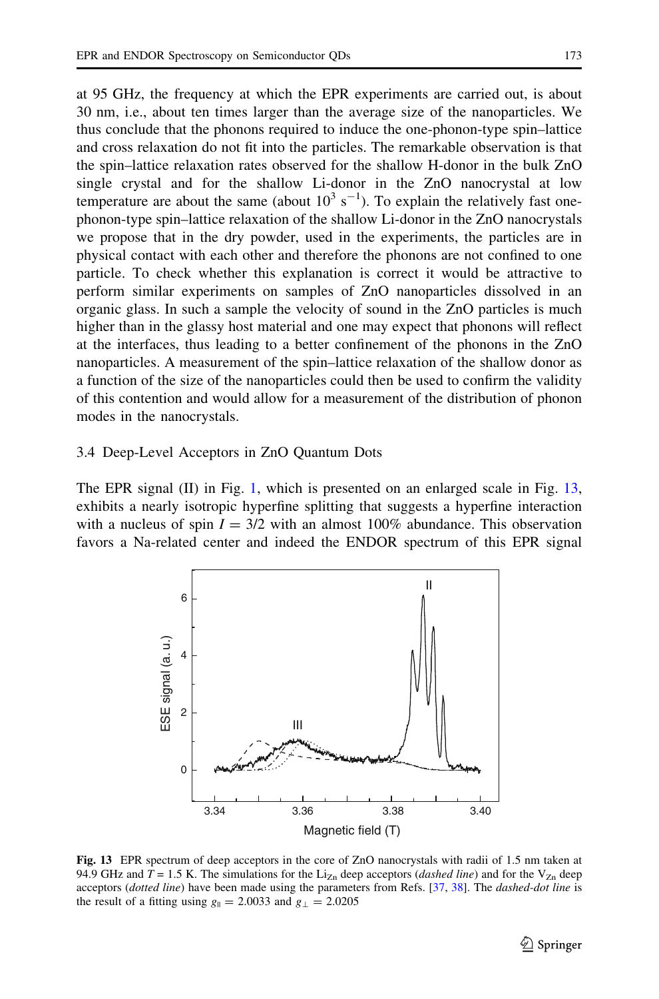<span id="page-22-0"></span>at 95 GHz, the frequency at which the EPR experiments are carried out, is about 30 nm, i.e., about ten times larger than the average size of the nanoparticles. We thus conclude that the phonons required to induce the one-phonon-type spin–lattice and cross relaxation do not fit into the particles. The remarkable observation is that the spin–lattice relaxation rates observed for the shallow H-donor in the bulk ZnO single crystal and for the shallow Li-donor in the ZnO nanocrystal at low temperature are about the same (about  $10^3 \text{ s}^{-1}$ ). To explain the relatively fast onephonon-type spin–lattice relaxation of the shallow Li-donor in the ZnO nanocrystals we propose that in the dry powder, used in the experiments, the particles are in physical contact with each other and therefore the phonons are not confined to one particle. To check whether this explanation is correct it would be attractive to perform similar experiments on samples of ZnO nanoparticles dissolved in an organic glass. In such a sample the velocity of sound in the ZnO particles is much higher than in the glassy host material and one may expect that phonons will reflect at the interfaces, thus leading to a better confinement of the phonons in the ZnO nanoparticles. A measurement of the spin–lattice relaxation of the shallow donor as a function of the size of the nanoparticles could then be used to confirm the validity of this contention and would allow for a measurement of the distribution of phonon modes in the nanocrystals.

### 3.4 Deep-Level Acceptors in ZnO Quantum Dots

The EPR signal (II) in Fig. [1](#page-5-0), which is presented on an enlarged scale in Fig. 13, exhibits a nearly isotropic hyperfine splitting that suggests a hyperfine interaction with a nucleus of spin  $I = 3/2$  with an almost 100% abundance. This observation favors a Na-related center and indeed the ENDOR spectrum of this EPR signal



Fig. 13 EPR spectrum of deep acceptors in the core of ZnO nanocrystals with radii of 1.5 nm taken at 94.9 GHz and  $T = 1.5$  K. The simulations for the Li<sub>Zn</sub> deep acceptors (*dashed line*) and for the V<sub>Zn</sub> deep acceptors (dotted line) have been made using the parameters from Refs. [[37,](#page-32-0) [38](#page-32-0)]. The *dashed-dot line* is the result of a fitting using  $g_{\parallel} = 2.0033$  and  $g_{\perp} = 2.0205$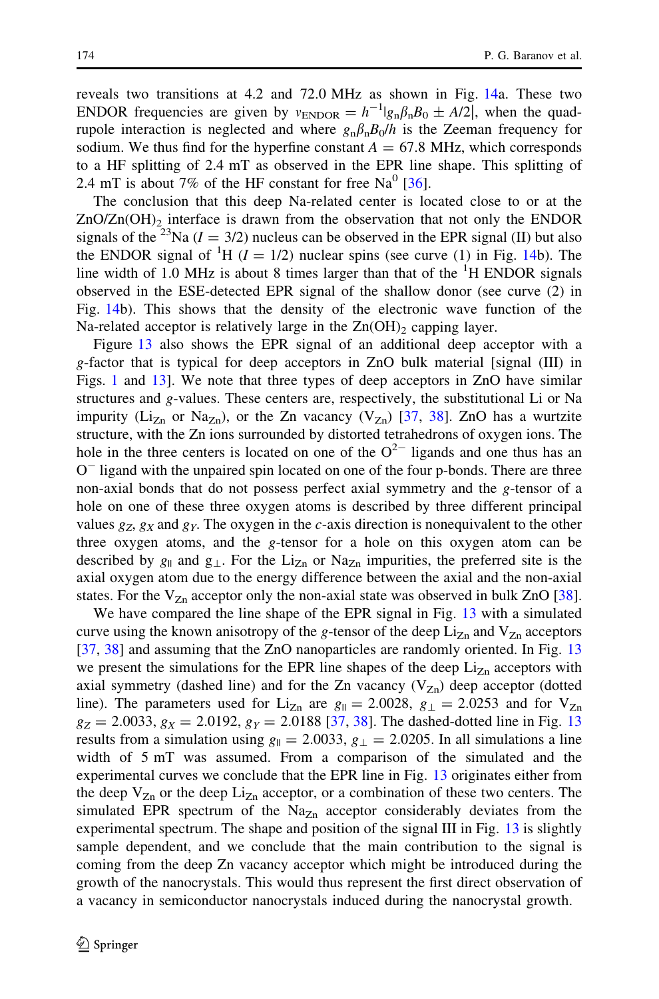reveals two transitions at 4.2 and 72.0 MHz as shown in Fig. [14a](#page-24-0). These two ENDOR frequencies are given by  $v_{\text{ENDOR}} = h^{-1} |g_n \beta_n B_0 \pm A/2|$ , when the quadrupole interaction is neglected and where  $g_n \beta_n B_0/h$  is the Zeeman frequency for sodium. We thus find for the hyperfine constant  $A = 67.8$  MHz, which corresponds to a HF splitting of 2.4 mT as observed in the EPR line shape. This splitting of 2.4 mT is about 7% of the HF constant for free Na<sup>0</sup> [\[36](#page-32-0)].

The conclusion that this deep Na-related center is located close to or at the  $ZnO/Zn(OH)$ <sub>2</sub> interface is drawn from the observation that not only the ENDOR signals of the <sup>23</sup>Na ( $I = 3/2$ ) nucleus can be observed in the EPR signal (II) but also the ENDOR signal of <sup>1</sup>H ( $I = 1/2$ ) nuclear spins (see curve (1) in Fig. [14](#page-24-0)b). The line width of 1.0 MHz is about 8 times larger than that of the  ${}^{1}H$  ENDOR signals observed in the ESE-detected EPR signal of the shallow donor (see curve (2) in Fig. [14](#page-24-0)b). This shows that the density of the electronic wave function of the Na-related acceptor is relatively large in the  $Zn(OH)_2$  capping layer.

Figure [13](#page-22-0) also shows the EPR signal of an additional deep acceptor with a g-factor that is typical for deep acceptors in ZnO bulk material [signal (III) in Figs. [1](#page-5-0) and [13](#page-22-0)]. We note that three types of deep acceptors in ZnO have similar structures and g-values. These centers are, respectively, the substitutional Li or Na impurity ( $Li_{Zn}$  or Na<sub>Zn</sub>), or the Zn vacancy ( $V_{Zn}$ ) [\[37](#page-32-0), [38](#page-32-0)]. ZnO has a wurtzite structure, with the Zn ions surrounded by distorted tetrahedrons of oxygen ions. The hole in the three centers is located on one of the  $O^{2-}$  ligands and one thus has an  $O^-$  ligand with the unpaired spin located on one of the four p-bonds. There are three non-axial bonds that do not possess perfect axial symmetry and the g-tensor of a hole on one of these three oxygen atoms is described by three different principal values  $g_Z$ ,  $g_X$  and  $g_Y$ . The oxygen in the c-axis direction is nonequivalent to the other three oxygen atoms, and the g-tensor for a hole on this oxygen atom can be described by  $g_{\parallel}$  and  $g_{\perp}$ . For the Li<sub>Zn</sub> or Na<sub>Zn</sub> impurities, the preferred site is the axial oxygen atom due to the energy difference between the axial and the non-axial states. For the  $V_{Zn}$  acceptor only the non-axial state was observed in bulk ZnO [[38\]](#page-32-0).

We have compared the line shape of the EPR signal in Fig. [13](#page-22-0) with a simulated curve using the known anisotropy of the g-tensor of the deep  $Li_{Zn}$  and  $V_{Zn}$  acceptors [\[37](#page-32-0), [38\]](#page-32-0) and assuming that the ZnO nanoparticles are randomly oriented. In Fig. [13](#page-22-0) we present the simulations for the EPR line shapes of the deep  $Li_{Zn}$  acceptors with axial symmetry (dashed line) and for the Zn vacancy  $(V_{Zn})$  deep acceptor (dotted line). The parameters used for Li<sub>Zn</sub> are  $g_{\parallel} = 2.0028$ ,  $g_{\perp} = 2.0253$  and for V<sub>Zn</sub>  $g_Z = 2.0033$ ,  $g_X = 2.0192$ ,  $g_Y = 2.0188$  [[37,](#page-32-0) [38\]](#page-32-0). The dashed-dotted line in Fig. [13](#page-22-0) results from a simulation using  $g_{\parallel} = 2.0033$ ,  $g_{\perp} = 2.0205$ . In all simulations a line width of 5 mT was assumed. From a comparison of the simulated and the experimental curves we conclude that the EPR line in Fig. [13](#page-22-0) originates either from the deep  $V_{Zn}$  or the deep  $Li_{Zn}$  acceptor, or a combination of these two centers. The simulated EPR spectrum of the Na<sub>Zn</sub> acceptor considerably deviates from the experimental spectrum. The shape and position of the signal III in Fig. [13](#page-22-0) is slightly sample dependent, and we conclude that the main contribution to the signal is coming from the deep Zn vacancy acceptor which might be introduced during the growth of the nanocrystals. This would thus represent the first direct observation of a vacancy in semiconductor nanocrystals induced during the nanocrystal growth.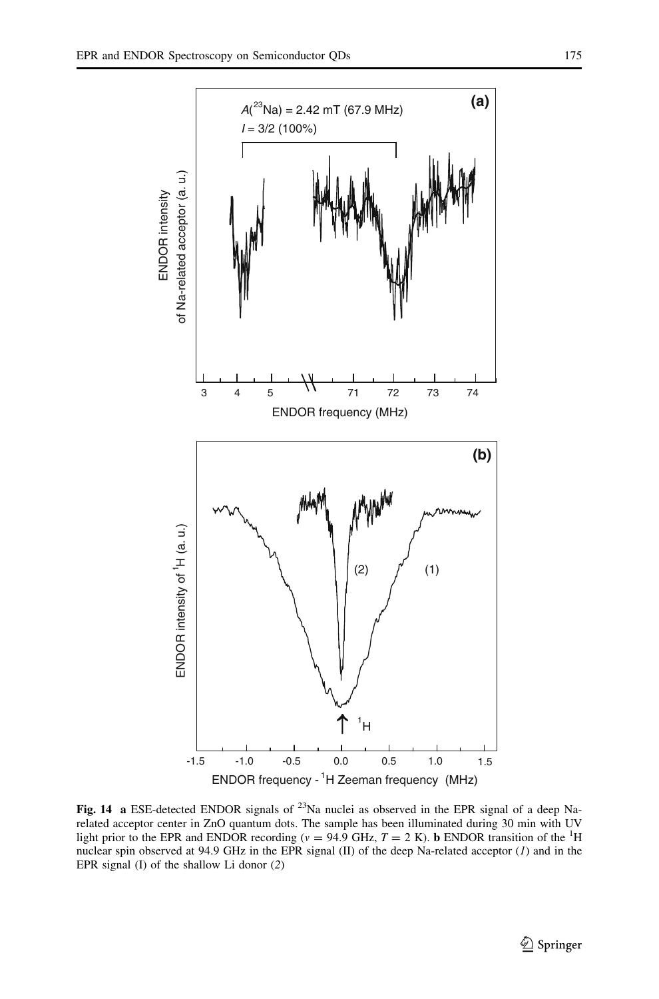<span id="page-24-0"></span>

Fig. 14 a ESE-detected ENDOR signals of <sup>23</sup>Na nuclei as observed in the EPR signal of a deep Narelated acceptor center in ZnO quantum dots. The sample has been illuminated during 30 min with UV light prior to the EPR and ENDOR recording ( $v = 94.9$  GHz,  $T = 2$  K). **b** ENDOR transition of the <sup>1</sup>H nuclear spin observed at 94.9 GHz in the EPR signal (II) of the deep Na-related acceptor  $(1)$  and in the EPR signal (I) of the shallow Li donor (2)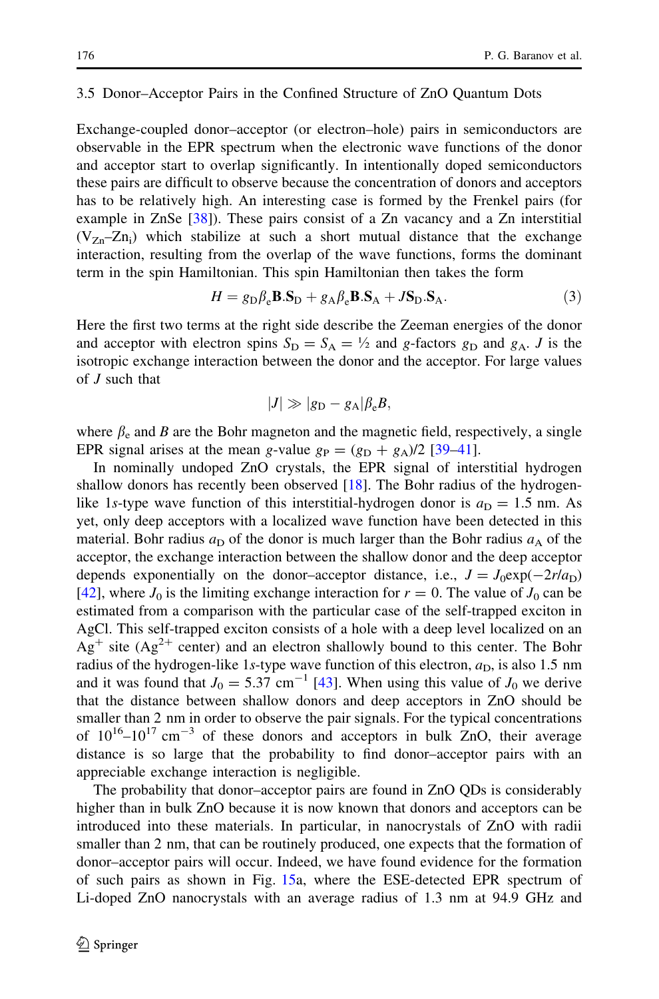### 3.5 Donor–Acceptor Pairs in the Confined Structure of ZnO Quantum Dots

Exchange-coupled donor–acceptor (or electron–hole) pairs in semiconductors are observable in the EPR spectrum when the electronic wave functions of the donor and acceptor start to overlap significantly. In intentionally doped semiconductors these pairs are difficult to observe because the concentration of donors and acceptors has to be relatively high. An interesting case is formed by the Frenkel pairs (for example in ZnSe [[38\]](#page-32-0)). These pairs consist of a Zn vacancy and a Zn interstitial  $(V_{Zn}-Zn_i)$  which stabilize at such a short mutual distance that the exchange interaction, resulting from the overlap of the wave functions, forms the dominant term in the spin Hamiltonian. This spin Hamiltonian then takes the form

$$
H = g_{\rm D} \beta_{\rm e} \mathbf{B} \cdot \mathbf{S}_{\rm D} + g_{\rm A} \beta_{\rm e} \mathbf{B} \cdot \mathbf{S}_{\rm A} + J \mathbf{S}_{\rm D} \cdot \mathbf{S}_{\rm A}.
$$
 (3)

Here the first two terms at the right side describe the Zeeman energies of the donor and acceptor with electron spins  $S_{\text{D}} = S_{\text{A}} = \frac{1}{2}$  and g-factors  $g_{\text{D}}$  and  $g_{\text{A}}$ . J is the isotropic exchange interaction between the donor and the acceptor. For large values of J such that

$$
|J| \gg |g_D - g_A| \beta_e B,
$$

where  $\beta_e$  and B are the Bohr magneton and the magnetic field, respectively, a single EPR signal arises at the mean g-value  $g_P = (g_D + g_A)/2$  [\[39–41](#page-32-0)].

In nominally undoped ZnO crystals, the EPR signal of interstitial hydrogen shallow donors has recently been observed  $[18]$  $[18]$ . The Bohr radius of the hydrogenlike 1s-type wave function of this interstitial-hydrogen donor is  $a<sub>D</sub> = 1.5$  nm. As yet, only deep acceptors with a localized wave function have been detected in this material. Bohr radius  $a<sub>D</sub>$  of the donor is much larger than the Bohr radius  $a<sub>A</sub>$  of the acceptor, the exchange interaction between the shallow donor and the deep acceptor depends exponentially on the donor–acceptor distance, i.e.,  $J = J_0 \exp(-2r/a_D)$ [\[42](#page-32-0)], where  $J_0$  is the limiting exchange interaction for  $r = 0$ . The value of  $J_0$  can be estimated from a comparison with the particular case of the self-trapped exciton in AgCl. This self-trapped exciton consists of a hole with a deep level localized on an  $\text{Ag}^+$  site (Ag<sup>2+</sup> center) and an electron shallowly bound to this center. The Bohr radius of the hydrogen-like 1s-type wave function of this electron,  $a<sub>D</sub>$ , is also 1.5 nm and it was found that  $J_0 = 5.37$  cm<sup>-1</sup> [\[43](#page-32-0)]. When using this value of  $J_0$  we derive that the distance between shallow donors and deep acceptors in ZnO should be smaller than 2 nm in order to observe the pair signals. For the typical concentrations of  $10^{16}$ – $10^{17}$  cm<sup>-3</sup> of these donors and acceptors in bulk ZnO, their average distance is so large that the probability to find donor–acceptor pairs with an appreciable exchange interaction is negligible.

The probability that donor–acceptor pairs are found in ZnO QDs is considerably higher than in bulk ZnO because it is now known that donors and acceptors can be introduced into these materials. In particular, in nanocrystals of ZnO with radii smaller than 2 nm, that can be routinely produced, one expects that the formation of donor–acceptor pairs will occur. Indeed, we have found evidence for the formation of such pairs as shown in Fig. [15a](#page-26-0), where the ESE-detected EPR spectrum of Li-doped ZnO nanocrystals with an average radius of 1.3 nm at 94.9 GHz and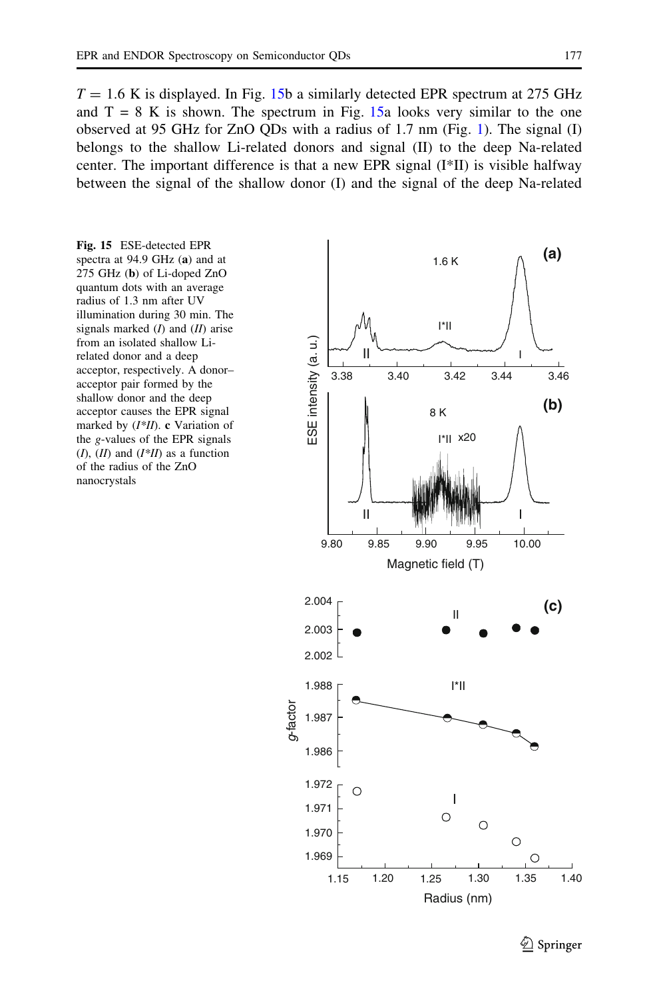<span id="page-26-0"></span> $T = 1.6$  K is displayed. In Fig. 15b a similarly detected EPR spectrum at 275 GHz and  $T = 8$  K is shown. The spectrum in Fig. 15a looks very similar to the one observed at 95 GHz for ZnO QDs with a radius of 1.7 nm (Fig. [1\)](#page-5-0). The signal (I) belongs to the shallow Li-related donors and signal (II) to the deep Na-related center. The important difference is that a new EPR signal (I\*II) is visible halfway between the signal of the shallow donor (I) and the signal of the deep Na-related

Fig. 15 ESE-detected EPR spectra at 94.9 GHz (a) and at 275 GHz (b) of Li-doped ZnO quantum dots with an average radius of 1.3 nm after UV illumination during 30 min. The signals marked  $(I)$  and  $(II)$  arise from an isolated shallow Lirelated donor and a deep acceptor, respectively. A donor– acceptor pair formed by the shallow donor and the deep acceptor causes the EPR signal marked by  $(I^*II)$ . c Variation of the g-values of the EPR signals  $(I), (II)$  and  $(I^*II)$  as a function of the radius of the ZnO nanocrystals



 $\bigcirc$  Springer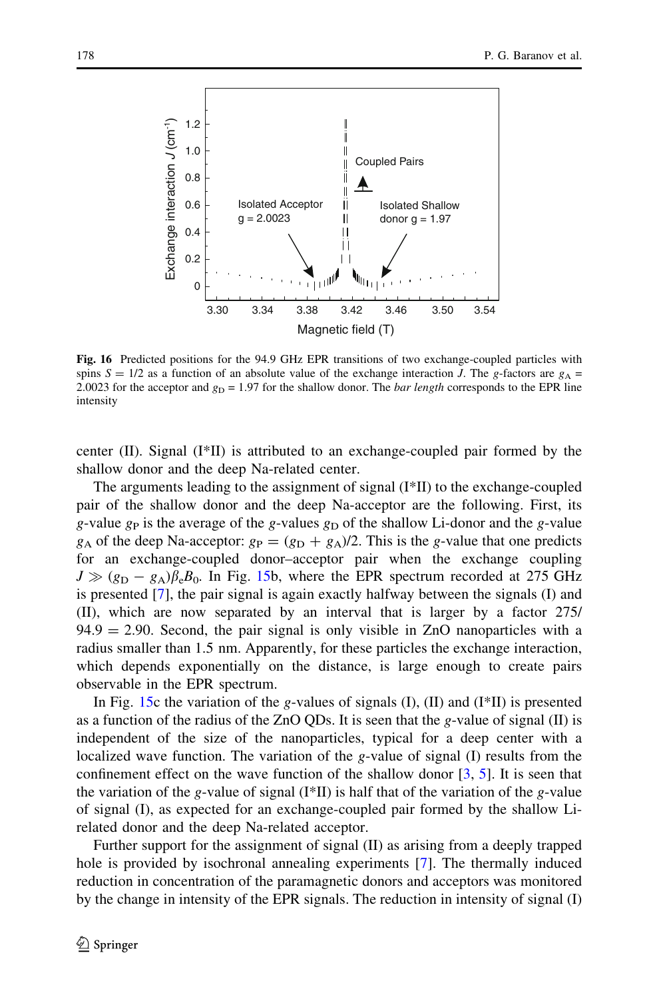<span id="page-27-0"></span>

Fig. 16 Predicted positions for the 94.9 GHz EPR transitions of two exchange-coupled particles with spins  $S = 1/2$  as a function of an absolute value of the exchange interaction J. The g-factors are  $g_A =$ 2.0023 for the acceptor and  $g_D = 1.97$  for the shallow donor. The *bar length* corresponds to the EPR line intensity

center (II). Signal  $(I^*II)$  is attributed to an exchange-coupled pair formed by the shallow donor and the deep Na-related center.

The arguments leading to the assignment of signal (I\*II) to the exchange-coupled pair of the shallow donor and the deep Na-acceptor are the following. First, its g-value  $g_P$  is the average of the g-values  $g_D$  of the shallow Li-donor and the g-value  $g_A$  of the deep Na-acceptor:  $g_P = (g_D + g_A)/2$ . This is the g-value that one predicts for an exchange-coupled donor–acceptor pair when the exchange coupling  $J \gg (g_D - g_A)\beta_c B_0$ . In Fig. [15b](#page-26-0), where the EPR spectrum recorded at 275 GHz is presented [[7\]](#page-31-0), the pair signal is again exactly halfway between the signals (I) and (II), which are now separated by an interval that is larger by a factor 275/  $94.9 = 2.90$ . Second, the pair signal is only visible in ZnO nanoparticles with a radius smaller than 1.5 nm. Apparently, for these particles the exchange interaction, which depends exponentially on the distance, is large enough to create pairs observable in the EPR spectrum.

In Fig. [15c](#page-26-0) the variation of the g-values of signals (I), (II) and  $(I^*II)$  is presented as a function of the radius of the ZnO QDs. It is seen that the g-value of signal (II) is independent of the size of the nanoparticles, typical for a deep center with a localized wave function. The variation of the g-value of signal (I) results from the confinement effect on the wave function of the shallow donor  $[3, 5]$  $[3, 5]$  $[3, 5]$ . It is seen that the variation of the g-value of signal  $(I^*II)$  is half that of the variation of the g-value of signal (I), as expected for an exchange-coupled pair formed by the shallow Lirelated donor and the deep Na-related acceptor.

Further support for the assignment of signal (II) as arising from a deeply trapped hole is provided by isochronal annealing experiments [\[7](#page-31-0)]. The thermally induced reduction in concentration of the paramagnetic donors and acceptors was monitored by the change in intensity of the EPR signals. The reduction in intensity of signal (I)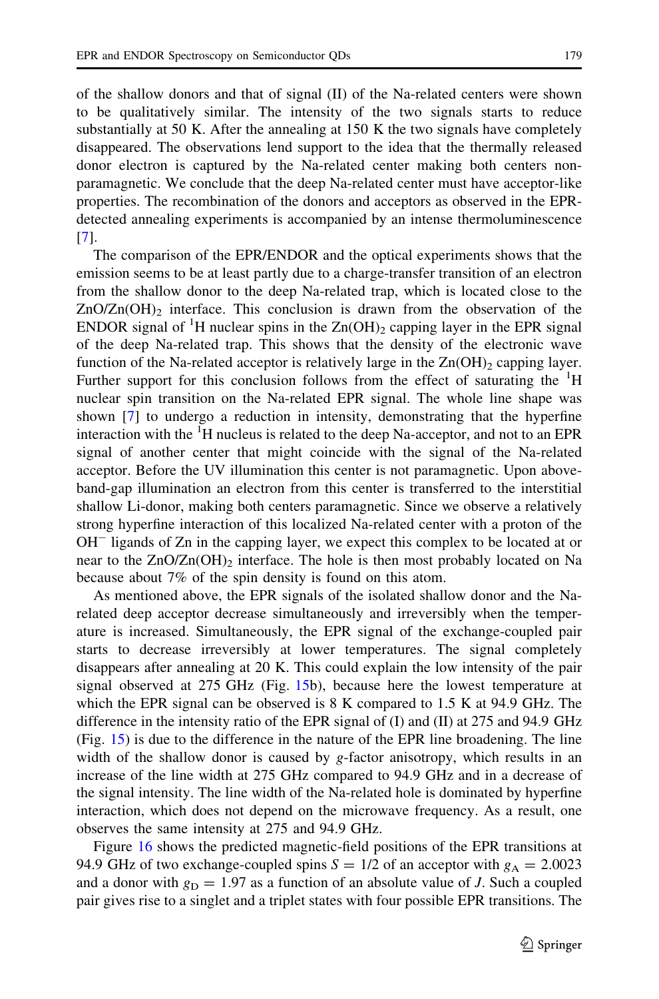of the shallow donors and that of signal (II) of the Na-related centers were shown to be qualitatively similar. The intensity of the two signals starts to reduce substantially at 50 K. After the annealing at 150 K the two signals have completely disappeared. The observations lend support to the idea that the thermally released donor electron is captured by the Na-related center making both centers nonparamagnetic. We conclude that the deep Na-related center must have acceptor-like properties. The recombination of the donors and acceptors as observed in the EPRdetected annealing experiments is accompanied by an intense thermoluminescence [\[7](#page-31-0)].

The comparison of the EPR/ENDOR and the optical experiments shows that the emission seems to be at least partly due to a charge-transfer transition of an electron from the shallow donor to the deep Na-related trap, which is located close to the  $ZnO/Zn(OH)$ <sub>2</sub> interface. This conclusion is drawn from the observation of the ENDOR signal of <sup>1</sup>H nuclear spins in the  $Zn(OH)_2$  capping layer in the EPR signal of the deep Na-related trap. This shows that the density of the electronic wave function of the Na-related acceptor is relatively large in the  $Zn(OH)_2$  capping layer. Further support for this conclusion follows from the effect of saturating the  ${}^{1}H$ nuclear spin transition on the Na-related EPR signal. The whole line shape was shown [[7\]](#page-31-0) to undergo a reduction in intensity, demonstrating that the hyperfine interaction with the  ${}^{1}H$  nucleus is related to the deep Na-acceptor, and not to an EPR signal of another center that might coincide with the signal of the Na-related acceptor. Before the UV illumination this center is not paramagnetic. Upon aboveband-gap illumination an electron from this center is transferred to the interstitial shallow Li-donor, making both centers paramagnetic. Since we observe a relatively strong hyperfine interaction of this localized Na-related center with a proton of the OH<sup>-</sup> ligands of Zn in the capping layer, we expect this complex to be located at or near to the ZnO/Zn(OH)<sub>2</sub> interface. The hole is then most probably located on Na because about 7% of the spin density is found on this atom.

As mentioned above, the EPR signals of the isolated shallow donor and the Narelated deep acceptor decrease simultaneously and irreversibly when the temperature is increased. Simultaneously, the EPR signal of the exchange-coupled pair starts to decrease irreversibly at lower temperatures. The signal completely disappears after annealing at 20 K. This could explain the low intensity of the pair signal observed at 275 GHz (Fig. [15b](#page-26-0)), because here the lowest temperature at which the EPR signal can be observed is 8 K compared to 1.5 K at 94.9 GHz. The difference in the intensity ratio of the EPR signal of (I) and (II) at 275 and 94.9 GHz (Fig. [15](#page-26-0)) is due to the difference in the nature of the EPR line broadening. The line width of the shallow donor is caused by  $g$ -factor anisotropy, which results in an increase of the line width at 275 GHz compared to 94.9 GHz and in a decrease of the signal intensity. The line width of the Na-related hole is dominated by hyperfine interaction, which does not depend on the microwave frequency. As a result, one observes the same intensity at 275 and 94.9 GHz.

Figure [16](#page-27-0) shows the predicted magnetic-field positions of the EPR transitions at 94.9 GHz of two exchange-coupled spins  $S = 1/2$  of an acceptor with  $g_A = 2.0023$ and a donor with  $g_D = 1.97$  as a function of an absolute value of J. Such a coupled pair gives rise to a singlet and a triplet states with four possible EPR transitions. The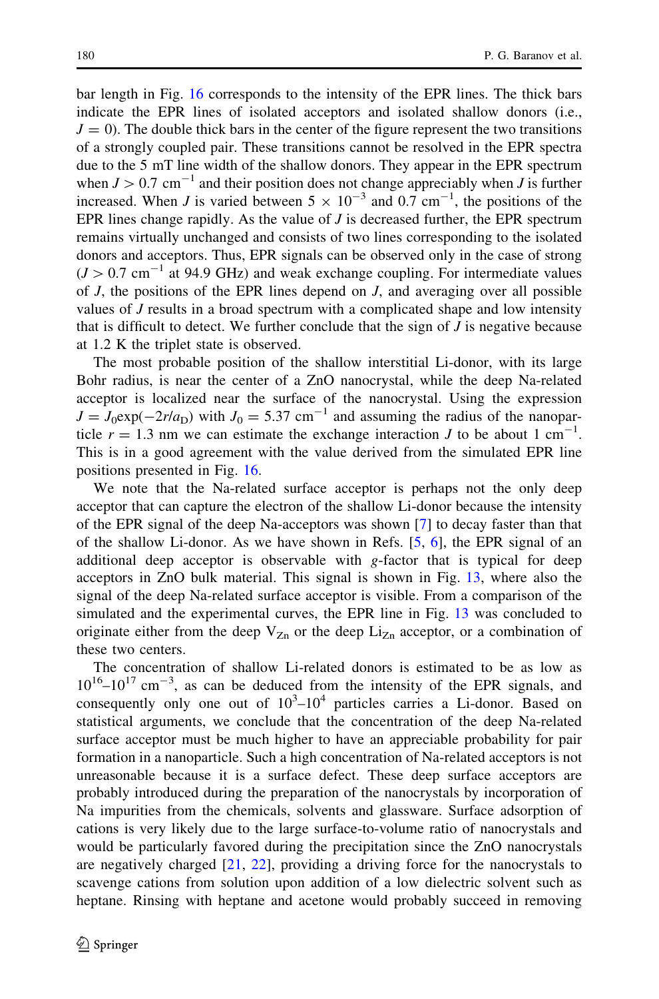bar length in Fig. [16](#page-27-0) corresponds to the intensity of the EPR lines. The thick bars indicate the EPR lines of isolated acceptors and isolated shallow donors (i.e.,  $J = 0$ ). The double thick bars in the center of the figure represent the two transitions of a strongly coupled pair. These transitions cannot be resolved in the EPR spectra due to the 5 mT line width of the shallow donors. They appear in the EPR spectrum when  $J > 0.7$  cm<sup>-1</sup> and their position does not change appreciably when J is further increased. When *J* is varied between  $5 \times 10^{-3}$  and 0.7 cm<sup>-1</sup>, the positions of the EPR lines change rapidly. As the value of  $J$  is decreased further, the EPR spectrum remains virtually unchanged and consists of two lines corresponding to the isolated donors and acceptors. Thus, EPR signals can be observed only in the case of strong  $(J > 0.7$  cm<sup>-1</sup> at 94.9 GHz) and weak exchange coupling. For intermediate values of  $J$ , the positions of the EPR lines depend on  $J$ , and averaging over all possible values of J results in a broad spectrum with a complicated shape and low intensity that is difficult to detect. We further conclude that the sign of  $J$  is negative because at 1.2 K the triplet state is observed.

The most probable position of the shallow interstitial Li-donor, with its large Bohr radius, is near the center of a ZnO nanocrystal, while the deep Na-related acceptor is localized near the surface of the nanocrystal. Using the expression  $J = J_0 \exp(-2r/a_D)$  with  $J_0 = 5.37$  cm<sup>-1</sup> and assuming the radius of the nanoparticle  $r = 1.3$  nm we can estimate the exchange interaction J to be about 1 cm<sup>-1</sup>. This is in a good agreement with the value derived from the simulated EPR line positions presented in Fig. [16](#page-27-0).

We note that the Na-related surface acceptor is perhaps not the only deep acceptor that can capture the electron of the shallow Li-donor because the intensity of the EPR signal of the deep Na-acceptors was shown [[7\]](#page-31-0) to decay faster than that of the shallow Li-donor. As we have shown in Refs.  $[5, 6]$  $[5, 6]$  $[5, 6]$  $[5, 6]$ , the EPR signal of an additional deep acceptor is observable with  $g$ -factor that is typical for deep acceptors in ZnO bulk material. This signal is shown in Fig. [13,](#page-22-0) where also the signal of the deep Na-related surface acceptor is visible. From a comparison of the simulated and the experimental curves, the EPR line in Fig. [13](#page-22-0) was concluded to originate either from the deep  $V_{Zn}$  or the deep  $Li_{Zn}$  acceptor, or a combination of these two centers.

The concentration of shallow Li-related donors is estimated to be as low as  $10^{16}$ – $10^{17}$  cm<sup>-3</sup>, as can be deduced from the intensity of the EPR signals, and consequently only one out of  $10^3 - 10^4$  particles carries a Li-donor. Based on statistical arguments, we conclude that the concentration of the deep Na-related surface acceptor must be much higher to have an appreciable probability for pair formation in a nanoparticle. Such a high concentration of Na-related acceptors is not unreasonable because it is a surface defect. These deep surface acceptors are probably introduced during the preparation of the nanocrystals by incorporation of Na impurities from the chemicals, solvents and glassware. Surface adsorption of cations is very likely due to the large surface-to-volume ratio of nanocrystals and would be particularly favored during the precipitation since the ZnO nanocrystals are negatively charged [\[21](#page-32-0), [22\]](#page-32-0), providing a driving force for the nanocrystals to scavenge cations from solution upon addition of a low dielectric solvent such as heptane. Rinsing with heptane and acetone would probably succeed in removing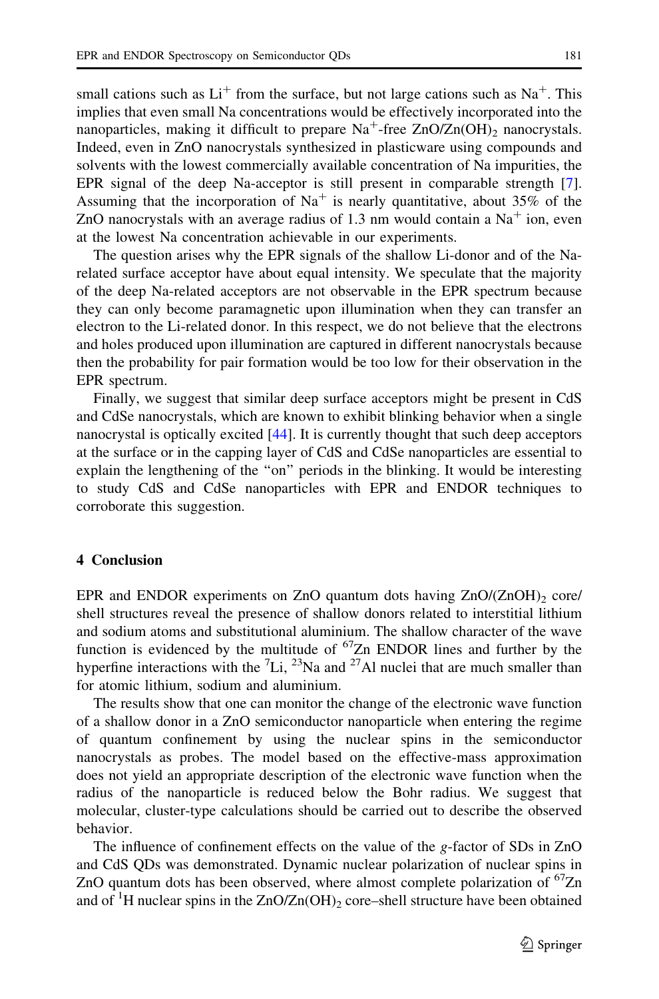small cations such as  $Li<sup>+</sup>$  from the surface, but not large cations such as  $Na<sup>+</sup>$ . This implies that even small Na concentrations would be effectively incorporated into the nanoparticles, making it difficult to prepare  $Na^+$ -free ZnO/Zn(OH)<sub>2</sub> nanocrystals. Indeed, even in ZnO nanocrystals synthesized in plasticware using compounds and solvents with the lowest commercially available concentration of Na impurities, the EPR signal of the deep Na-acceptor is still present in comparable strength [[7\]](#page-31-0). Assuming that the incorporation of  $Na<sup>+</sup>$  is nearly quantitative, about 35% of the ZnO nanocrystals with an average radius of 1.3 nm would contain a  $Na<sup>+</sup>$  ion, even at the lowest Na concentration achievable in our experiments.

The question arises why the EPR signals of the shallow Li-donor and of the Narelated surface acceptor have about equal intensity. We speculate that the majority of the deep Na-related acceptors are not observable in the EPR spectrum because they can only become paramagnetic upon illumination when they can transfer an electron to the Li-related donor. In this respect, we do not believe that the electrons and holes produced upon illumination are captured in different nanocrystals because then the probability for pair formation would be too low for their observation in the EPR spectrum.

Finally, we suggest that similar deep surface acceptors might be present in CdS and CdSe nanocrystals, which are known to exhibit blinking behavior when a single nanocrystal is optically excited [[44\]](#page-32-0). It is currently thought that such deep acceptors at the surface or in the capping layer of CdS and CdSe nanoparticles are essential to explain the lengthening of the ''on'' periods in the blinking. It would be interesting to study CdS and CdSe nanoparticles with EPR and ENDOR techniques to corroborate this suggestion.

### 4 Conclusion

EPR and ENDOR experiments on ZnO quantum dots having  $\text{ZnO}/(\text{ZnOH})_2$  core/ shell structures reveal the presence of shallow donors related to interstitial lithium and sodium atoms and substitutional aluminium. The shallow character of the wave function is evidenced by the multitude of  ${}^{67}Zn$  ENDOR lines and further by the hyperfine interactions with the  ${}^{7}Li$ ,  ${}^{23}Na$  and  ${}^{27}Al$  nuclei that are much smaller than for atomic lithium, sodium and aluminium.

The results show that one can monitor the change of the electronic wave function of a shallow donor in a ZnO semiconductor nanoparticle when entering the regime of quantum confinement by using the nuclear spins in the semiconductor nanocrystals as probes. The model based on the effective-mass approximation does not yield an appropriate description of the electronic wave function when the radius of the nanoparticle is reduced below the Bohr radius. We suggest that molecular, cluster-type calculations should be carried out to describe the observed behavior.

The influence of confinement effects on the value of the g-factor of SDs in ZnO and CdS QDs was demonstrated. Dynamic nuclear polarization of nuclear spins in ZnO quantum dots has been observed, where almost complete polarization of  $^{67}Zn$ and of <sup>1</sup>H nuclear spins in the  $ZnO/Zn(OH)_2$  core–shell structure have been obtained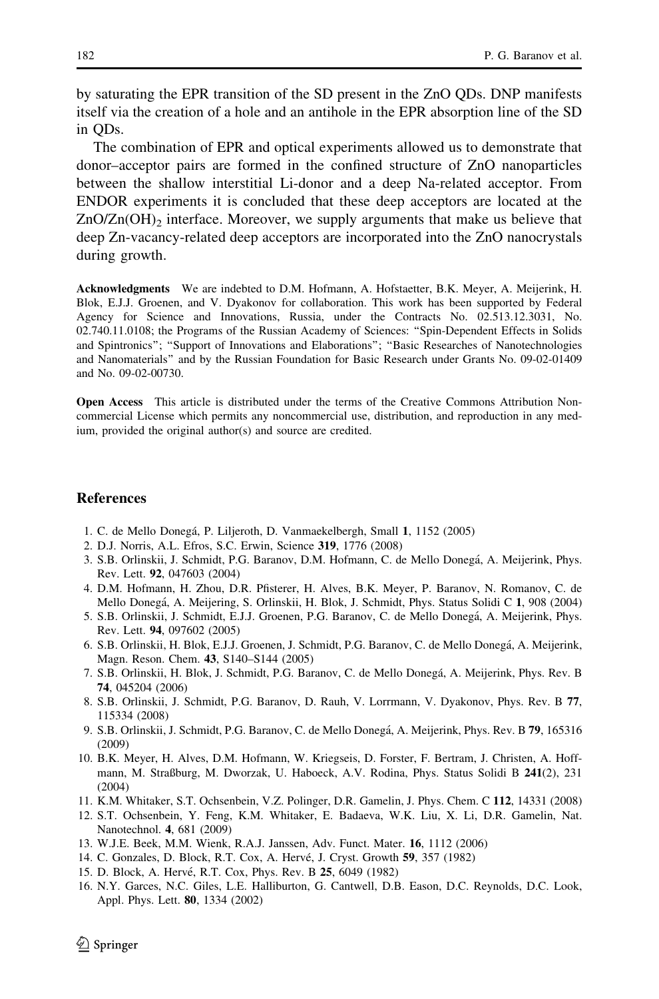<span id="page-31-0"></span>by saturating the EPR transition of the SD present in the ZnO QDs. DNP manifests itself via the creation of a hole and an antihole in the EPR absorption line of the SD in QDs.

The combination of EPR and optical experiments allowed us to demonstrate that donor–acceptor pairs are formed in the confined structure of ZnO nanoparticles between the shallow interstitial Li-donor and a deep Na-related acceptor. From ENDOR experiments it is concluded that these deep acceptors are located at the  $ZnO/Zn(OH)$ <sub>2</sub> interface. Moreover, we supply arguments that make us believe that deep Zn-vacancy-related deep acceptors are incorporated into the ZnO nanocrystals during growth.

Acknowledgments We are indebted to D.M. Hofmann, A. Hofstaetter, B.K. Meyer, A. Meijerink, H. Blok, E.J.J. Groenen, and V. Dyakonov for collaboration. This work has been supported by Federal Agency for Science and Innovations, Russia, under the Contracts No. 02.513.12.3031, No. 02.740.11.0108; the Programs of the Russian Academy of Sciences: ''Spin-Dependent Effects in Solids and Spintronics''; ''Support of Innovations and Elaborations''; ''Basic Researches of Nanotechnologies and Nanomaterials'' and by the Russian Foundation for Basic Research under Grants No. 09-02-01409 and No. 09-02-00730.

Open Access This article is distributed under the terms of the Creative Commons Attribution Noncommercial License which permits any noncommercial use, distribution, and reproduction in any medium, provided the original author(s) and source are credited.

#### References

- 1. C. de Mello Donega´, P. Liljeroth, D. Vanmaekelbergh, Small 1, 1152 (2005)
- 2. D.J. Norris, A.L. Efros, S.C. Erwin, Science 319, 1776 (2008)
- 3. S.B. Orlinskii, J. Schmidt, P.G. Baranov, D.M. Hofmann, C. de Mello Donega´, A. Meijerink, Phys. Rev. Lett. 92, 047603 (2004)
- 4. D.M. Hofmann, H. Zhou, D.R. Pfisterer, H. Alves, B.K. Meyer, P. Baranov, N. Romanov, C. de Mello Donega´, A. Meijering, S. Orlinskii, H. Blok, J. Schmidt, Phys. Status Solidi C 1, 908 (2004)
- 5. S.B. Orlinskii, J. Schmidt, E.J.J. Groenen, P.G. Baranov, C. de Mello Donega´, A. Meijerink, Phys. Rev. Lett. 94, 097602 (2005)
- 6. S.B. Orlinskii, H. Blok, E.J.J. Groenen, J. Schmidt, P.G. Baranov, C. de Mello Donegá, A. Meijerink, Magn. Reson. Chem. 43, S140–S144 (2005)
- 7. S.B. Orlinskii, H. Blok, J. Schmidt, P.G. Baranov, C. de Mello Donega´, A. Meijerink, Phys. Rev. B 74, 045204 (2006)
- 8. S.B. Orlinskii, J. Schmidt, P.G. Baranov, D. Rauh, V. Lorrmann, V. Dyakonov, Phys. Rev. B 77, 115334 (2008)
- 9. S.B. Orlinskii, J. Schmidt, P.G. Baranov, C. de Mello Donega´, A. Meijerink, Phys. Rev. B 79, 165316 (2009)
- 10. B.K. Meyer, H. Alves, D.M. Hofmann, W. Kriegseis, D. Forster, F. Bertram, J. Christen, A. Hoffmann, M. Straßburg, M. Dworzak, U. Haboeck, A.V. Rodina, Phys. Status Solidi B 241(2), 231 (2004)
- 11. K.M. Whitaker, S.T. Ochsenbein, V.Z. Polinger, D.R. Gamelin, J. Phys. Chem. C 112, 14331 (2008)
- 12. S.T. Ochsenbein, Y. Feng, K.M. Whitaker, E. Badaeva, W.K. Liu, X. Li, D.R. Gamelin, Nat. Nanotechnol. 4, 681 (2009)
- 13. W.J.E. Beek, M.M. Wienk, R.A.J. Janssen, Adv. Funct. Mater. 16, 1112 (2006)
- 14. C. Gonzales, D. Block, R.T. Cox, A. Hervé, J. Cryst. Growth 59, 357 (1982)
- 15. D. Block, A. Hervé, R.T. Cox, Phys. Rev. B 25, 6049 (1982)
- 16. N.Y. Garces, N.C. Giles, L.E. Halliburton, G. Cantwell, D.B. Eason, D.C. Reynolds, D.C. Look, Appl. Phys. Lett. 80, 1334 (2002)